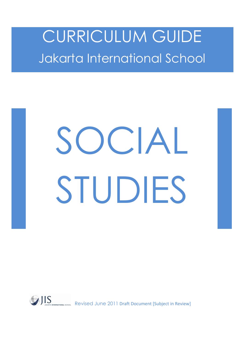# CURRICULUM GUIDE Jakarta International School

# SOCIAL STUDIES



**SUS AND AN DEVISED JUNE 2011 Draft Document [Subject in Review]**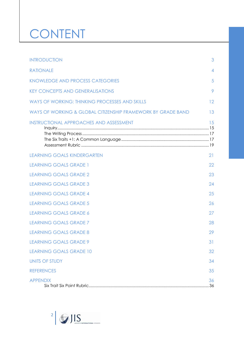# CONTENT

| <b>INTRODUCTION</b>                                          | 3         |
|--------------------------------------------------------------|-----------|
| <b>RATIONALE</b>                                             | 4         |
| <b>KNOWLEDGE AND PROCESS CATEGORIES</b>                      | 5         |
| <b>KEY CONCEPTS AND GENERALISATIONS</b>                      | 9         |
| <b>WAYS OF WORKING: THINKING PROCESSES AND SKILLS</b>        | 12        |
| WAYS OF WORKING & GLOBAL CITIZENSHIP FRAMEWORK BY GRADE BAND | 13        |
| <b>INSTRUCTIONAL APPROACHES AND ASSESSMENT</b>               | 15        |
|                                                              |           |
|                                                              |           |
| <b>LEARNING GOALS KINDERGARTEN</b>                           | 21        |
| <b>LEARNING GOALS GRADE 1</b>                                | 22        |
| <b>LEARNING GOALS GRADE 2</b>                                | 23        |
| <b>LEARNING GOALS GRADE 3</b>                                | 24        |
| <b>LEARNING GOALS GRADE 4</b>                                | 25        |
| <b>LEARNING GOALS GRADE 5</b>                                | 26        |
| <b>LEARNING GOALS GRADE 6</b>                                | 27        |
| <b>LEARNING GOALS GRADE 7</b>                                | 28        |
| <b>LEARNING GOALS GRADE 8</b>                                | 29        |
| <b>LEARNING GOALS GRADE 9</b>                                | 31        |
| <b>LEARNING GOALS GRADE 10</b>                               | 32        |
| <b>UNITS OF STUDY</b>                                        | 34        |
| <b>REFERENCES</b>                                            | 35        |
| <b>APPENDIX</b>                                              | 36<br>.36 |

<span id="page-1-0"></span>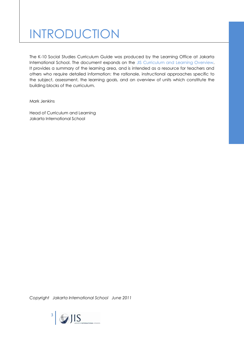# INTRODUCTION

The K-10 Social Studies Curriculum Guide was produced by the Learning Office at Jakarta International School. The document expands on the JIS Curriculum and Learning Overview. It provides a summary of the learning area, and is intended as a resource for teachers and others who require detailed information: the rationale, instructional approaches specific to the subject, assessment, the learning goals, and an overview of units which constitute the building blocks of the curriculum.

Mark Jenkins

Head of Curriculum and Learning Jakarta International School

<span id="page-2-0"></span>*Copyright Jakarta International School June 2011*

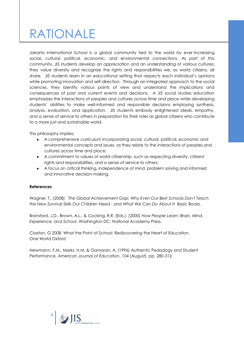# RATIONALE

Jakarta International School is a global community tied to the world by ever-increasing social, cultural, political, economic, and environmental connections. As part of this community, JIS students develop an appreciation and an understanding of various cultures; they value diversity and recognize the rights and responsibilities we, as world citizens, all share. JIS students learn in an educational setting that respects each individual's opinions while promoting innovation and self-direction. Through an integrated approach to the social sciences, they identify various points of view and understand the implications and consequences of past and current events and decisions. A JIS social studies education emphasizes the interactions of peoples and cultures across time and place while developing students' abilities to make well-informed and responsible decisions employing synthesis, analysis, evaluation, and application. JIS students embody enlightened ideals, empathy, and a sense of service to others in preparation for their roles as global citizens who contribute to a more just and sustainable world.

This philosophy implies:

- A comprehensive curriculum incorporating social, cultural, political, economic and environmental concepts and issues, as they relate to the interactions of peoples and cultures across time and place;
- A commitment to values of world citizenship, such as respecting diversity, citizens' rights and responsibilities, and a sense of service to others;
- A focus on critical thinking, independence of mind, problem solving and informed and innovative decision-making.

#### **References**

Wagner, T., (2008) *The Global Achievement Gap: Why Even Our Best Schools Don't Teach the New Survival Skills Our Children Need - and What We Can Do About It* Basic Books.

Bransford, J.D., Brown, A.L., & Cocking, R.R. (Eds.). (2000) *How People Learn: Brain, Mind, Experience, and School.* Washington DC: National Academy Press.

Claxton, G 2008 What the Point of School: Rediscovering the Heart of Education One World Oxford

Newmann, F.M., Marks, H.M. & Gamoran, A. (1996) Authentic Pedadogy and Student Performance. *American Journal of Education*, 104 (August), pp. 280-312.

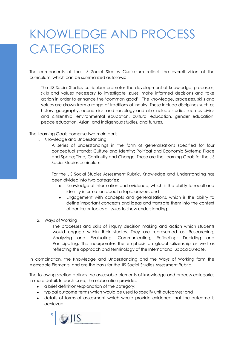# <span id="page-4-0"></span>KNOWLEDGE AND PROCESS **CATEGORIES**

The components of the JIS Social Studies Curriculum reflect the overall vision of the curriculum, which can be summarized as follows:

The JIS Social Studies curriculum promotes the development of knowledge, processes, skills and values necessary to investigate issues, make informed decisions and take action in order to enhance the 'common good'. The knowledge, processes, skills and values are drawn from a range of traditions of inquiry. These include disciplines such as history, geography, economics, and sociology and also include studies such as civics and citizenship, environmental education, cultural education, gender education, peace education, Asian, and indigenous studies, and futures.

The Learning Goals comprise two main parts:

1. Knowledge and Understanding

A series of understandings in the form of generalizations specified for four conceptual strands: Culture and Identity; Political and Economic Systems; Place and Space; Time, Continuity and Change. These are the Learning Goals for the JIS Social Studies curriculum.

For the JIS Social Studies Assessment Rubric, Knowledge and Understanding has been divided into two categories:

- Knowledge of information and evidence, which is the ability to recall and identify information about a topic or issue; and
- Engagement with concepts and generalisations, which is the ability to define important concepts and ideas and translate them into the context of particular topics or issues to show understanding.
- 2. Ways of Working

The processes and skills of inquiry decision making and action which students would engage within their studies. They are represented as: Researching; Analyzing and Evaluating: Communicating; Reflecting; Deciding and Participating. This incorporates the emphasis on global citizenship as well as reflecting the approach and terminology of the International Baccalaureate.

In combination, the Knowledge and Understanding and the Ways of Working form the Assessable Elements, and are the basis for the JIS Social Studies Assessment Rubric.

The following section defines the assessable elements of knowledge and process categories in more detail. In each case, the elaboration provides:

- a brief definition/explanation of the category;
- typical outcome terms which would be used to specify unit outcomes; and
- details of forms of assessment which would provide evidence that the outcome is achieved.

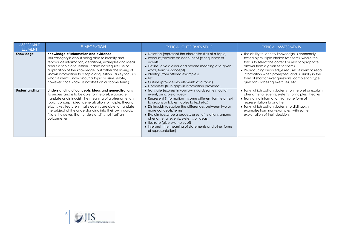| ASSESSABLE<br><b>ELEMENT</b> | <b>ELABORATION</b>                                                                                                                                                                                                                                                                                                                                                                                                                                  | <b>TYPICAL OUTCOMES STYLE</b>                                                                                                                                                                                                                                                                                                                                                                                                                                                                         | <b>TYPICAL ASSESSMENTS</b>                                                                                                                                                                                                                                                                                                                                                                        |
|------------------------------|-----------------------------------------------------------------------------------------------------------------------------------------------------------------------------------------------------------------------------------------------------------------------------------------------------------------------------------------------------------------------------------------------------------------------------------------------------|-------------------------------------------------------------------------------------------------------------------------------------------------------------------------------------------------------------------------------------------------------------------------------------------------------------------------------------------------------------------------------------------------------------------------------------------------------------------------------------------------------|---------------------------------------------------------------------------------------------------------------------------------------------------------------------------------------------------------------------------------------------------------------------------------------------------------------------------------------------------------------------------------------------------|
| Knowledge                    | Knowledge of information and evidence<br>This category is about being able to identify and<br>reproduce information, definitions, examples and ideas<br>about a topic or question. It does not require use or<br>application of the knowledge, but rather the linking of<br>known information to a topic or question. Its key focus is<br>what students know about a topic or issue. (Note,<br>however, that 'know' is not itself an outcome term.) | • Describe (represent the characteristics of a topic)<br>• Recount/provide an account of (a sequence of<br>events)<br>• Define (give a clear and precise meaning of a given<br>word, term or concept)<br>• Identify (from offered examples)<br>$\bullet$ List<br>• Outline (provide key elements of a topic)<br>• Complete (fill in gaps in information provided)                                                                                                                                     | • The ability to identify knowledge is commonly<br>tested by multiple choice test items, where the<br>task is to select the correct or most appropriate<br>answer from a given set of items.<br>• Reproducing knowledge requires student to recall<br>information when prompted, and is usually in the<br>form of short answer questions, completion type<br>questions, labelling exercises, etc. |
| <b>Understanding</b>         | Understanding of concepts, ideas and generalisations<br>To understand is to be able to interpret, elaborate,<br>translate or distinguish the meaning of a phenomenon,<br>topic, concept, idea, generalisation, principle, theory,<br>etc. Its key feature is that students are able to translate<br>the subject of the understanding into their own words.<br>(Note, however, that 'understand' is not itself an<br>outcome term.)                  | • Translate (express in your own words some situation,<br>event, principle or idea)<br>• Represent (information in some different form e.g. text<br>to graphs or tables, tables to text etc.)<br>• Distinguish (describe the differences between two or<br>more concepts/terms)<br>• Explain (describe a process or set of relations among<br>phenomena, events, systems or ideas)<br>• Illustrate (give examples of)<br>• Interpret (the meaning of statements and other forms<br>of representation) | • Tasks which call on students to interpret or explain<br>phenomena, events, systems, principles, theories.<br>• Translating information from one form of<br>representation to another.<br>• Tasks which call on students to distinguish<br>examples from non-examples, with some<br>explanation of their decision.                                                                               |

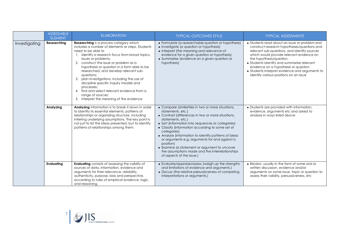|               | ASSESSABLE<br><b>ELEMENT</b> | <b>ELABORATION</b>                                                                                                                                                                                                                                                                                                                                                                                                                                                                                                                                                         | <b>TYPICAL OUTCOMES STYLE</b>                                                                                                                                                                                                                                                                                                                                                                                                                                                                                                     | <b>TYPICAL ASSESSMENTS</b>                                                                                                                                                                                                                                                                                                                                                                              |
|---------------|------------------------------|----------------------------------------------------------------------------------------------------------------------------------------------------------------------------------------------------------------------------------------------------------------------------------------------------------------------------------------------------------------------------------------------------------------------------------------------------------------------------------------------------------------------------------------------------------------------------|-----------------------------------------------------------------------------------------------------------------------------------------------------------------------------------------------------------------------------------------------------------------------------------------------------------------------------------------------------------------------------------------------------------------------------------------------------------------------------------------------------------------------------------|---------------------------------------------------------------------------------------------------------------------------------------------------------------------------------------------------------------------------------------------------------------------------------------------------------------------------------------------------------------------------------------------------------|
| Investigating | Researching                  | <b>Researching</b> is a process category which<br>includes a number of elements or steps. Students<br>need to be able to<br>1. identify a research focus from broad topics,<br>issues or problems:<br>2. construct the issue or problem as a<br>hypothesis or question in a form able to be<br>researched, and develop relevant sub-<br>questions:<br>3. plan investigations, including the use of<br>discipline specific inquiry models and<br>processes:<br>4. find and select relevant evidence from a<br>range of sources;<br>5. interpret the meaning of the evidence | • Formulate (a researchable question or hypothesis)<br>• Investigate (a question or hypothesis)<br>• Interpret (the meaning and relevance of<br>evidence for a given question or hypothesis)<br>· Summarise (evidence on a given question or<br>hypothesis)                                                                                                                                                                                                                                                                       | • Students read about an issue or problem and<br>construct research hypotheses/questions and<br>relevant sub-questions, and identify sources<br>which would provide relevant evidence on<br>the hypothesis/question.<br>• Students identify and summarise relevant<br>evidence on a hypothesis or question.<br>• Students interpret evidence and arguments to<br>identify various positions on an issue |
|               | Analyzing                    | Analyzing information is to break it down in order<br>to identify its essential elements, patterns of<br>relationships or organizing structure, including<br>inferring underlying assumptions. The key point is<br>not just to list the ideas presented, but to identify<br>patterns of relationships among them.                                                                                                                                                                                                                                                          | • Compare (similarities in two or more situations,<br>statements, etc.)<br>• Contrast (differences in two or more situations,<br>statements, etc.)<br>• Sort (information into sequences or categories)<br>• Classify (information according to some set of<br>categories)<br>• Analyse (information to identify patterns of ideas<br>or arguments e.g. arguments for and against a<br>position)<br>• Examine (a statement or argument to uncover<br>the assumptions made and the interrelationships<br>of aspects of the issue.) | • Students are provided with information,<br>evidence, arguments etc and asked to<br>analyse in ways listed above                                                                                                                                                                                                                                                                                       |
|               | Evaluating                   | <b>Evaluating</b> consists of assessing the validity of<br>sources of data, information, evidence and<br>arguments for their relevance, reliability,<br>authenticity, purpose, bias and perspective,<br>according to rules of empirical evidence, logic<br>and reasoning.                                                                                                                                                                                                                                                                                                  | • Evaluate/appraise/assess (weigh up the strengths<br>and limitations of evidence and arguments.)<br>• Discuss (the relative persuasiveness of competing<br>interpretations or arguments.)                                                                                                                                                                                                                                                                                                                                        | • Review, usually in the form of some oral or<br>written discussion, evidence and/or<br>arguments on some issue, topic or question to<br>assess their validity, persuasiveness, etc                                                                                                                                                                                                                     |

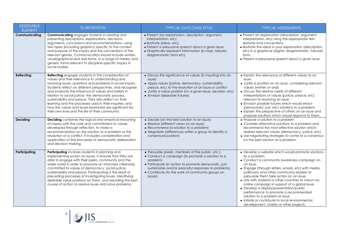| ASSESSABLE<br><b>ELEMENT</b> | <b>ELABORATION</b>                                                                                                                                                                                                                                                                                                                                                                                                                                                                                                                                                                       | <b>TYPICAL OUTCOMES STYLE</b>                                                                                                                                                                                                                                                                 | <b>TYPICAL ASSESSMENTS</b>                                                                                                                                                                                                                                                                                                                                                                                                                                                                                                                                                                                 |
|------------------------------|------------------------------------------------------------------------------------------------------------------------------------------------------------------------------------------------------------------------------------------------------------------------------------------------------------------------------------------------------------------------------------------------------------------------------------------------------------------------------------------------------------------------------------------------------------------------------------------|-----------------------------------------------------------------------------------------------------------------------------------------------------------------------------------------------------------------------------------------------------------------------------------------------|------------------------------------------------------------------------------------------------------------------------------------------------------------------------------------------------------------------------------------------------------------------------------------------------------------------------------------------------------------------------------------------------------------------------------------------------------------------------------------------------------------------------------------------------------------------------------------------------------------|
| Communicating                | <b>Communicating</b> engages students in reading and<br>presenting descriptions, explanations, decisions,<br>arguments, conclusions and recommendations, using<br>text types (including graphics) specific to the context<br>and purpose of the inquiry and the conventions of the<br>relevant genres. Communication should include written,<br>visual/graphical and oral forms, in a range of media, and<br>generic forms relevant to discipline-specific inquiry in<br>social studies.                                                                                                 | • Present (an explanation, description, argument,<br>interpretation, etc)<br>· Illustrate (ideas, etc)<br>· Present a persuasive speech about a given issue<br>• Graphically represent information (in map, tabular,<br>diagrammatic form etc)                                                | · Present an explanation (description, argument,<br>interpretation, etc) using the appropriate text<br>features and conventions.<br>· Illustrate the ideas in your explanation (description,<br>etc) in a graphical (digital, diagrammatic, tabular)<br>form.<br>• Present a persuasive speech about a given issue.                                                                                                                                                                                                                                                                                        |
| Reflecting                   | <b>Reflecting</b> engages students in the consideration of<br>values and their relevance to understanding and<br>resolving issues, questions and problems in social inquiry.<br>Students reflect on different perspectives, and recognise<br>and evaluate the influence of values and beliefs in<br>relation to social justice, the democratic process,<br>sustainability and peace. They also reflect on their<br>learning and the processes used in their inquiries, and<br>how the values and issues examined are significant for<br>their own lives and the life of their community. | • Discuss the significance of values (in inquiring into an<br>issue)<br>• Apply values (justice, democracy, sustainability,<br>peace, etc) to the resolution of an issue or conflict<br>• Justify a value position (on a given issue, decision, etc)<br>• Envision (desirable futures)        | • Explain the relevance of different values to an<br>issue.<br>· Justify a position on an issue, considering relevant<br>values (written or oral)<br>• Discuss the relative merits of different<br>interpretations of values (justice, peace, etc)<br>relevant to resolving an issue.<br>• Envision possible futures which would enact<br>(democratic, just, etc) solutions to a problem.<br>• Explain the perspective of others on an issue and<br>propose solutions which would respond to them.                                                                                                         |
| <b>Deciding</b>              | Deciding combines the logical and empirical reasoning<br>of inquiry with the care and commitment to values<br>developed through reflection, to make a<br>recommendation on the solution to a problem or the<br>resolution of a conflict. It includes consideration and<br>application of the processes of democratic deliberation<br>and decision making.                                                                                                                                                                                                                                | • Decide (on the best solution to an issue)<br>• Resolve (different views on an issue)<br>• Recommend (a solution to a problem)<br>• Negotiate (differences within a group to identify a<br>consensual position)                                                                              | • Propose a solution to a problem<br>• Consider alternative solutions to a problem and<br>recommend the most effective solution which<br>realises relevant values (democracy, justice, etc)<br>• Use negotiating strategies to come to a consensus<br>on the best solution to a problem                                                                                                                                                                                                                                                                                                                    |
| Participating                | Participating involves students in planning and<br>implementing action on issues. It ensures that they are<br>able to engage with their peers, community and the<br>wider world in order to promote an informed citizenship<br>committed to values of democracy, social justice,<br>sustainability and peace. Participating is the result of<br>preceding processes of investigating issues, identifying<br>desirable value positions on them, and deciding the best<br>course of action to resolve issues and solve problems.                                                           | • Persuade (peers, members of the public, etc.)<br>• Conduct a campaign (to promote a solution to a<br>problem)<br>• Participate (in action to promote democratic, just,<br>sustainable and/or peaceful responses to problems)<br>• Contribute (to the work of community groups on<br>issues) | • Develop a website which would promote solutions<br>to a problem.<br>• Conduct a community awareness campaign on<br>an issue.<br>• Engage (through letters, emails, etc) with media,<br>politicians and other community leaders to<br>persuade them take action on an issue.<br>• Link with students in other countries to mount an<br>online campaign in support of a global issue.<br>• Develop a display/presentation/public<br>performance to promote a recommended<br>solution to a problem or issue.<br>• Initiate or contribute to local environmental,<br>development, charity or other projects. |

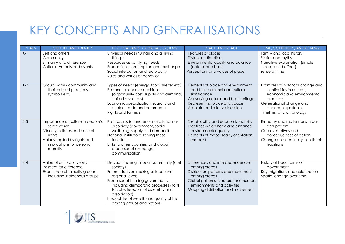# KEY CONCEPTS AND GENERALISATIONS

<span id="page-8-0"></span>

| <b>YEARS</b> | <b>CULTURE AND IDENTITY</b>                                                                                                                                             | POLITICAL AND ECONOMIC SYSTEMS                                                                                                                                                                                                                                                                                             | <b>PLACE AND SPACE</b>                                                                                                                                                                                              | TIME, CONTINUITY, AND CHANGE                                                                                                                                                            |
|--------------|-------------------------------------------------------------------------------------------------------------------------------------------------------------------------|----------------------------------------------------------------------------------------------------------------------------------------------------------------------------------------------------------------------------------------------------------------------------------------------------------------------------|---------------------------------------------------------------------------------------------------------------------------------------------------------------------------------------------------------------------|-----------------------------------------------------------------------------------------------------------------------------------------------------------------------------------------|
| $K-1$        | Self and others<br>Community<br>Similarity and difference<br>Cultural symbols and events                                                                                | Universal needs (human and all living<br>things)<br>Resources as satisfying needs<br>Production, consumption and exchange<br>Social interaction and reciprocity<br>Rules and values of behavior                                                                                                                            | Features of places<br>Distance, direction<br>Environmental quality and balance<br>(natural and built)<br>Perceptions and values of place                                                                            | Family and local history<br>Stories and myths<br>Narrative explanation (simple<br>cause and effect)<br>Sense of time                                                                    |
| $1 - 2$      | Groups within community and<br>their cultural practices,<br>symbols etc.                                                                                                | Types of needs (energy, food, shelter etc)<br>Personal economic decisions<br>(opportunity cost, supply and demand,<br>limited resources)<br>Economic specialization, scarcity and<br>choice, trade and commerce<br>Rights and fairness                                                                                     | Elements of place and environment<br>and their personal and cultural<br>significance<br>Conserving natural and built heritage<br>Representing place and space<br>Absolute and relative location                     | Examples of historical change and<br>continuities in cultural,<br>economic and environmental<br>practices<br>Generational change and<br>personal experience<br>Timelines and chronology |
| $2 - 3$      | Importance of culture in people's<br>sense of self<br>Minority cultures and cultural<br>rights<br>Values implied by rights and<br>implications for personal<br>morality | Political, social and economic functions<br>in society (government, social<br>wellbeing, supply and demand)<br>National institutions serving these<br>functions<br>Links to other countries and global<br>processes of exchange,<br>communication                                                                          | Sustainability and economic activity<br>Practices which harm and enhance<br>environmental quality<br>Elements of maps (scale, orientation,<br>symbols)                                                              | Empathy and motivations in past<br>and present<br>Causes, motives and<br>consequences of action<br>Change and continuity in cultural<br>traditions                                      |
| $3 - 4$      | Value of cultural diversity<br>Respect for difference<br>Experience of minority groups,<br>including Indigenous groups                                                  | Decision making in local community (civil<br>society)<br>Formal decision making at local and<br>regional levels<br>Processes of forming government,<br>including democratic processes (right<br>to vote, freedom of assembly and<br>association)<br>Inequalities of wealth and quality of life<br>among groups and nations | Differences and interdependencies<br>among places<br>Distribution patterns and movement<br>among places<br>Global patterns in natural and human<br>environments and activities<br>Mapping distribution and movement | History of basic forms of<br>government<br>Key migrations and colonization<br>Spatial change over time                                                                                  |

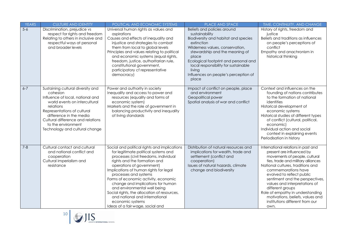| <b>YEARS</b> | <b>CULTURE AND IDENTITY</b>                                                                                                                                                                                                                                                            | POLITICAL AND ECONOMIC SYSTEMS                                                                                                                                                                                                                                                                                                                                                                                                                                                                                      | PLACE AND SPACE                                                                                                                                                                                                                                                                                                                | TIME, CONTINUITY, AND CHANGE                                                                                                                                                                                                                                                                                                                                                                                                                |
|--------------|----------------------------------------------------------------------------------------------------------------------------------------------------------------------------------------------------------------------------------------------------------------------------------------|---------------------------------------------------------------------------------------------------------------------------------------------------------------------------------------------------------------------------------------------------------------------------------------------------------------------------------------------------------------------------------------------------------------------------------------------------------------------------------------------------------------------|--------------------------------------------------------------------------------------------------------------------------------------------------------------------------------------------------------------------------------------------------------------------------------------------------------------------------------|---------------------------------------------------------------------------------------------------------------------------------------------------------------------------------------------------------------------------------------------------------------------------------------------------------------------------------------------------------------------------------------------------------------------------------------------|
| $5-6$        | Discrimination, prejudice vs<br>respect for rights and freedom<br>Relating to others in inclusive and<br>respectful ways at personal<br>and broader levels                                                                                                                             | Universal human rights as values and<br>aspirations<br>Causes and effects of inequality and<br>injustice and strategies to combat<br>them from local to global levels<br>Principles and values relating to political<br>and economic systems (equal rights,<br>freedom, justice, authoritarian rule,<br>constitutional government,<br>participatory cf representative<br>democracy)                                                                                                                                 | Beliefs and policies around<br>sustainability<br>Biodiversity and habitat and species<br>extinction<br>Wilderness values, conservation,<br>stewardship and the meaning of<br>place<br>Ecological footprint and personal and<br>local responsibility for sustainable<br>living<br>Influences on people's perception of<br>place | History of rights, freedom and<br>justice<br>Beliefs and traditions as influences<br>on people's perceptions of<br>conflict<br>Empathy and anachronism in<br>historical thinking                                                                                                                                                                                                                                                            |
| $6 - 7$      | Sustaining cultural diversity and<br>cohesion<br>Influence of local, national and<br>world events on intercultural<br>relations<br>Representations of cultural<br>difference in the media<br>Cultural difference and relations<br>to the environment<br>Technology and cultural change | Power and authority in society<br>Inequality and access to power and<br>resources (equality and forms of<br>economic system)<br>Markets and the role of government in<br>balancing productivity and inequality<br>of living standards                                                                                                                                                                                                                                                                               | Impact of conflict on people, place<br>and environment<br>Geopolitical power<br>Spatial analysis of war and conflict                                                                                                                                                                                                           | Context and influences on the<br>founding of nations contributes<br>to the formation of national<br>identities<br>Historical development of<br>economic systems<br>Historical studies of different types<br>of conflict (cultural, political,<br>economic)<br>Individual action and social<br>context in explaining events<br>Periodisation in history                                                                                      |
| $7 - 8$      | Cultural contact and cultural<br>and national conflict and<br>cooperation<br>Cultural imperialism and<br>resistance                                                                                                                                                                    | Social and political rights and implications<br>for legitimate political systems and<br>processes (civil freedoms, individual<br>rights and the formation and<br>operations of government)<br>Implications of human rights for legal<br>processes and systems<br>Forms of economic activity, economic<br>change and implications for human<br>and environmental well being<br>Social rights, the allocation of resources,<br>and national and international<br>economic systems<br>Ideas of a fair wage, social and | Distribution of natural resources and<br>implications for wealth, trade and<br>settlement (conflict and<br>cooperation)<br>Issues of natural hazards, climate<br>change and biodiversity                                                                                                                                       | International relations in past and<br>present are influenced by<br>movements of people, cultural<br>ties, trade and military alliances<br>National cultures, traditions and<br>commemorations have<br>evolved to reflect public<br>sentiment and the perspectives,<br>values and interpretations of<br>different groups<br>Role of empathy in understanding<br>motivations, beliefs, values and<br>institutions different from our<br>own. |

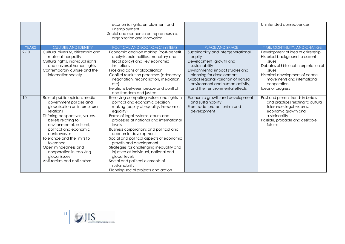|              |                                                                                                                                                                                                                                                                                                                                                                                          | economic rights, employment and<br>unemployment<br>Social and economic entrepreneurship,<br>organization and innovation                                                                                                                                                                                                                                                                                                                                                                                                                                                    |                                                                                                                                                                                                                                                                           | Unintended consequences                                                                                                                                                                                                                     |
|--------------|------------------------------------------------------------------------------------------------------------------------------------------------------------------------------------------------------------------------------------------------------------------------------------------------------------------------------------------------------------------------------------------|----------------------------------------------------------------------------------------------------------------------------------------------------------------------------------------------------------------------------------------------------------------------------------------------------------------------------------------------------------------------------------------------------------------------------------------------------------------------------------------------------------------------------------------------------------------------------|---------------------------------------------------------------------------------------------------------------------------------------------------------------------------------------------------------------------------------------------------------------------------|---------------------------------------------------------------------------------------------------------------------------------------------------------------------------------------------------------------------------------------------|
| <b>YEARS</b> | <b>CULTURE AND IDENTITY</b>                                                                                                                                                                                                                                                                                                                                                              | POLITICAL AND ECONOMIC SYSTEMS                                                                                                                                                                                                                                                                                                                                                                                                                                                                                                                                             | PLACE AND SPACE                                                                                                                                                                                                                                                           | <b>TIME, CONTINUITY, AND CHANGE</b>                                                                                                                                                                                                         |
| $9 - 10$     | Cultural diversity, citizenship and<br>material inequality<br>Cultural rights, individual rights<br>and universal human rights<br>Contemporary culture and the<br>information society                                                                                                                                                                                                    | Economic decision making (cost-benefit<br>analysis, externalities, monetary and<br>fiscal policy) and key economic<br>institutions<br>Pros and cons of globalisation<br>Conflict resolution processes (advocacy,<br>negotiation, reconciliation, mediation,<br>etc)<br>Relations between peace and conflict<br>and freedom and justice.                                                                                                                                                                                                                                    | Sustainability and intergenerational<br>equity<br>Development, growth and<br>sustainability<br>Environmental impact studies and<br>planning for development<br>Global regional variation of natural<br>environment and human activity,<br>and their environmental effects | Development of idea of citizenship<br>Historical background to current<br>issues<br>Debates of historical interpretation of<br>issues<br>Historical development of peace<br>movements and international<br>cooperation<br>Ideas of progress |
| 10           | Role of public opinion, media,<br>government policies and<br>globalisation on intercultural<br>relations<br>Differing perspectives, values,<br>beliefs relating to<br>environmental, cultural,<br>political and economic<br>controversies<br>Tolerance and the limits to<br>tolerance<br>Open mindedness and<br>cooperation in resolving<br>global issues<br>Anti-racism and anti-sexism | Resolving competing values and rights in<br>political and economic decision<br>making (equity cf equality, freedom cf<br>equality)<br>Forms of legal systems, courts and<br>processes at national and international<br>levels<br>Business corporations and political and<br>economic development<br>Social and political aspects of economic<br>growth and development<br>Strategies for challenging inequality and<br>injustice at individual, national and<br>global levels<br>Social and political elements of<br>sustainability<br>Planning social projects and action | Economic growth and development<br>and sustainability<br>Free trade, protectionism and<br>development                                                                                                                                                                     | Past and present trends in beliefs<br>and practices relating to cultural<br>tolerance, legal systems,<br>economic growth and<br>sustainability<br>Possible, probable and desirable<br>futures                                               |

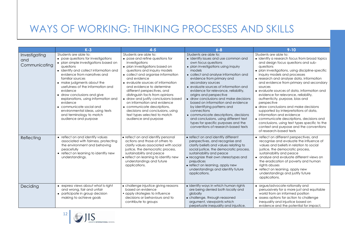### WAYS OF WORKING: THINKING PROCESSES AND SKILLS

<span id="page-11-0"></span>

|                                       | $K-3$                                                                                                                                                                                                                                                                                                                                                                                                                                                                                                 | $4 - 5$                                                                                                                                                                                                                                                                                                                                                                                                                                                                                                                                  | $6 - 8$                                                                                                                                                                                                                                                                                                                                                                                                                                                                                                                                                                                                                                  | $9 - 10$                                                                                                                                                                                                                                                                                                                                                                                                                                                                                                                                                                                                                                                                                                                                    |
|---------------------------------------|-------------------------------------------------------------------------------------------------------------------------------------------------------------------------------------------------------------------------------------------------------------------------------------------------------------------------------------------------------------------------------------------------------------------------------------------------------------------------------------------------------|------------------------------------------------------------------------------------------------------------------------------------------------------------------------------------------------------------------------------------------------------------------------------------------------------------------------------------------------------------------------------------------------------------------------------------------------------------------------------------------------------------------------------------------|------------------------------------------------------------------------------------------------------------------------------------------------------------------------------------------------------------------------------------------------------------------------------------------------------------------------------------------------------------------------------------------------------------------------------------------------------------------------------------------------------------------------------------------------------------------------------------------------------------------------------------------|---------------------------------------------------------------------------------------------------------------------------------------------------------------------------------------------------------------------------------------------------------------------------------------------------------------------------------------------------------------------------------------------------------------------------------------------------------------------------------------------------------------------------------------------------------------------------------------------------------------------------------------------------------------------------------------------------------------------------------------------|
| Investigating<br>and<br>Communicating | Students are able to:<br>• pose questions for investigations<br>• plan simple investigations based on<br>auestions<br>• identify and collect information and<br>evidence from narratives and<br>familiar sources<br>• make judgments about the<br>usefulness of the information and<br>evidence<br>• draw conclusions and give<br>explanations, using information and<br>evidence<br>• communicate social and<br>environmental ideas, using texts<br>and terminology to match<br>audience and purpose | Students are able to:<br>• pose and refine questions for<br>investigations<br>· plan investigations based on<br>questions and inquiry models<br>• collect and organise information<br>and evidence<br>• evaluate sources of information<br>and evidence to determine<br>different perspectives, and<br>distinguish facts from opinions<br>• draw and justify conclusions based<br>on information and evidence<br>• communicate descriptions,<br>decisions and conclusions, using<br>text types selected to match<br>audience and purpose | Students are able to:<br>· identify issues and use common and<br>own focus questions<br>• plan investigations using inquiry<br>models<br>• collect and analyse information and<br>evidence from primary and<br>secondary sources<br>• evaluate sources of information and<br>evidence for relevance, reliability,<br>origins and perspective<br>• draw conclusions and make decisions<br>based on information and evidence<br>by identifying patterns and<br>connections<br>• communicate descriptions, decisions<br>and conclusions, using different text<br>types for specific purposes and the<br>conventions of research-based texts | Students are able to:<br>· identify a research focus from broad topics<br>and design focus questions and sub-<br>auestions<br>· plan investigations, using discipline-specific<br>inquiry models and processes<br>• research and analyse data, information<br>and evidence from primary and secondary<br>sources<br>• evaluate sources of data, information and<br>evidence for relevance, reliability,<br>authenticity, purpose, bias and<br>perspective<br>• draw conclusions and make decisions<br>supported by interpretations of data,<br>information and evidence<br>• communicate descriptions, decisions and<br>conclusions, using text types specific to the<br>context and purpose and the conventions<br>of research-based texts |
| Reflecting                            | • reflect on and identify values<br>associated with fairness, protecting<br>the environment and behaving<br>peacefully<br>• reflect on learning to identify new<br>understandings.                                                                                                                                                                                                                                                                                                                    | • reflect on and identify personal<br>actions and those of others to<br>clarify values associated with social<br>justice, the democratic process,<br>sustainability and peace<br>• reflect on learning to identify new<br>understandings and future<br>applications.                                                                                                                                                                                                                                                                     | • reflect on and identify different<br>perspectives, and recognise and<br>clarify beliefs and values relating to<br>social justice, the democratic process,<br>sustainability and peace<br>• recognize their own stereotypes and<br>prejudices<br>• reflect on learning, apply new<br>understandings and identify future<br>applications.                                                                                                                                                                                                                                                                                                | • reflect on different perspectives, and<br>recognise and evaluate the influence of<br>values and beliefs in relation to social<br>justice, the democratic process,<br>sustainability and peace<br>• analyse and evaluate different views on<br>the eradication of poverty and human<br>rights abuses<br>• reflect on learning, apply new<br>understandings and justify future<br>applications.                                                                                                                                                                                                                                                                                                                                             |
| Deciding                              | • express views about what is right<br>and wrong, fair and unfair<br>• participate in group decision<br>making to achieve goals                                                                                                                                                                                                                                                                                                                                                                       | • challenge injustice giving reasons<br>based on evidence<br>• apply strategies to influence<br>decisions or behaviours and to<br>contribute to groups                                                                                                                                                                                                                                                                                                                                                                                   | • identify ways in which human rights<br>are being denied both locally and<br>alobally<br>• challenge, through reasoned<br>argument, viewpoints which<br>perpetuate inequality and injustice.                                                                                                                                                                                                                                                                                                                                                                                                                                            | • argue/advocate rationally and<br>persuasively for a more just and equitable<br>world from an informed position<br>• assess options for action to challenge<br>inequality and injustice based on<br>evidence and the potential for impact                                                                                                                                                                                                                                                                                                                                                                                                                                                                                                  |

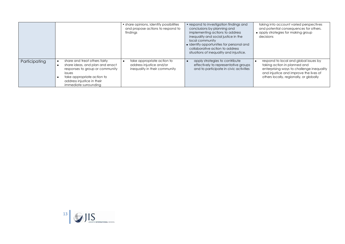|               |                                                                                                                                                                                                    | • share opinions, identify possibilities<br>and propose actions to respond to<br>findings | • respond to investigation findings and<br>conclusions by planning and<br>implementing actions to address<br>inequality and social justice in the<br>local community<br>• identify opportunities for personal and<br>collaborative action to address<br>situations of inequality and injustice. | taking into account varied perspectives<br>and potential consequences for others.<br>• apply strategies for making group<br>decisions                                                                   |
|---------------|----------------------------------------------------------------------------------------------------------------------------------------------------------------------------------------------------|-------------------------------------------------------------------------------------------|-------------------------------------------------------------------------------------------------------------------------------------------------------------------------------------------------------------------------------------------------------------------------------------------------|---------------------------------------------------------------------------------------------------------------------------------------------------------------------------------------------------------|
| Participating | share and treat others fairly<br>share ideas, and plan and enact<br>responses to group or community<br>issues<br>take appropriate action to<br>address injustice in their<br>immediate surrounding | take appropriate action to<br>address injustice and/or<br>inequality in their community   | apply strategies to contribute<br>effectively to representative groups<br>and to participate in civic activities                                                                                                                                                                                | respond to local and global issues by<br>taking action in planned and<br>enterprising ways to challenge inequality<br>and injustice and improve the lives of<br>others locally, regionally, or globally |

<span id="page-12-0"></span>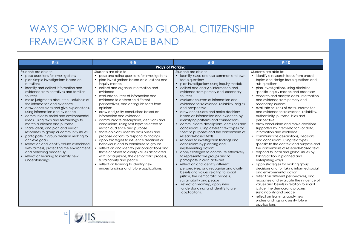### WAYS OF WORKING AND GLOBAL CITIZENSHIP FRAMEWORK BY GRADE BAND

| $K-3$                                                                                                                                                                                                                                                                                                                                                                                                                                                                                                                                                                                                                                                                                                                                                                                                                    | $4 - 5$                                                                                                                                                                                                                                                                                                                                                                                                                                                                                                                                                                                                                                                                                                                                                                                                                                                                                                                                                                              | $6 - 8$                                                                                                                                                                                                                                                                                                                                                                                                                                                                                                                                                                                                                                                                                                                                                                                                                                                                                                                                                                                                                                                                                                                                | $9 - 10$                                                                                                                                                                                                                                                                                                                                                                                                                                                                                                                                                                                                                                                                                                                                                                                                                                                                                                                                                                                                                                                                                                                                                                                                                                                     |  |  |  |  |
|--------------------------------------------------------------------------------------------------------------------------------------------------------------------------------------------------------------------------------------------------------------------------------------------------------------------------------------------------------------------------------------------------------------------------------------------------------------------------------------------------------------------------------------------------------------------------------------------------------------------------------------------------------------------------------------------------------------------------------------------------------------------------------------------------------------------------|--------------------------------------------------------------------------------------------------------------------------------------------------------------------------------------------------------------------------------------------------------------------------------------------------------------------------------------------------------------------------------------------------------------------------------------------------------------------------------------------------------------------------------------------------------------------------------------------------------------------------------------------------------------------------------------------------------------------------------------------------------------------------------------------------------------------------------------------------------------------------------------------------------------------------------------------------------------------------------------|----------------------------------------------------------------------------------------------------------------------------------------------------------------------------------------------------------------------------------------------------------------------------------------------------------------------------------------------------------------------------------------------------------------------------------------------------------------------------------------------------------------------------------------------------------------------------------------------------------------------------------------------------------------------------------------------------------------------------------------------------------------------------------------------------------------------------------------------------------------------------------------------------------------------------------------------------------------------------------------------------------------------------------------------------------------------------------------------------------------------------------------|--------------------------------------------------------------------------------------------------------------------------------------------------------------------------------------------------------------------------------------------------------------------------------------------------------------------------------------------------------------------------------------------------------------------------------------------------------------------------------------------------------------------------------------------------------------------------------------------------------------------------------------------------------------------------------------------------------------------------------------------------------------------------------------------------------------------------------------------------------------------------------------------------------------------------------------------------------------------------------------------------------------------------------------------------------------------------------------------------------------------------------------------------------------------------------------------------------------------------------------------------------------|--|--|--|--|
| <b>Ways of Working</b>                                                                                                                                                                                                                                                                                                                                                                                                                                                                                                                                                                                                                                                                                                                                                                                                   |                                                                                                                                                                                                                                                                                                                                                                                                                                                                                                                                                                                                                                                                                                                                                                                                                                                                                                                                                                                      |                                                                                                                                                                                                                                                                                                                                                                                                                                                                                                                                                                                                                                                                                                                                                                                                                                                                                                                                                                                                                                                                                                                                        |                                                                                                                                                                                                                                                                                                                                                                                                                                                                                                                                                                                                                                                                                                                                                                                                                                                                                                                                                                                                                                                                                                                                                                                                                                                              |  |  |  |  |
| Students are able to:<br>pose questions for investigations<br>plan simple investigations based on<br>questions<br>• identify and collect information and<br>evidence from narratives and familiar<br>sources<br>• make judgments about the usefulness of<br>the information and evidence<br>• draw conclusions and give explanations,<br>using information and evidence<br>• communicate social and environmental<br>ideas, using texts and terminology to<br>match audience and purpose<br>• share ideas, and plan and enact<br>responses to group or community issues<br>• participate in group decision making to<br>achieve goals<br>• reflect on and identify values associated<br>with fairness, protecting the environment<br>and behaving peacefully<br>• reflect on learning to identify new<br>understandings. | Students are able to:<br>pose and refine questions for investigations<br>plan investigations based on questions and<br>inquiry models<br>• collect and organise information and<br>evidence<br>• evaluate sources of information and<br>evidence to determine different<br>perspectives, and distinguish facts from<br>opinions<br>• draw and justify conclusions based on<br>information and evidence<br>• communicate descriptions, decisions and<br>conclusions, using text types selected to<br>match audience and purpose<br>• share opinions, identify possibilities and<br>propose actions to respond to findings<br>• apply strategies to influence decisions or<br>behaviours and to contribute to groups<br>• reflect on and identify personal actions and<br>those of others to clarify values associated<br>with social justice, the democratic process,<br>sustainability and peace<br>• reflect on learning to identify new<br>understandings and future applications. | Students are able to:<br>• identify issues and use common and own<br>focus questions<br>plan investigations using inquiry models<br>collect and analyse information and<br>evidence from primary and secondary<br>sources<br>evaluate sources of information and<br>evidence for relevance, reliability, origins<br>and perspective<br>draw conclusions and make decisions<br>based on information and evidence by<br>identifying patterns and connections<br>• communicate descriptions, decisions and<br>conclusions, using different text types for<br>specific purposes and the conventions of<br>research-based texts<br>• respond to investigation findings and<br>conclusions by planning and<br>implementing actions<br>• apply strategies to contribute effectively<br>to representative groups and to<br>participate in civic activities<br>• reflect on and identify different<br>perspectives, and recognise and clarify<br>beliefs and values relating to social<br>justice, the democratic process,<br>sustainability and peace<br>reflect on learning, apply new<br>understandings and identify future<br>applications. | Students are able to:<br>• identify a research focus from broad<br>topics and design focus questions and<br>sub-questions<br>plan investigations, using discipline-<br>specific inquiry models and processes<br>• research and analyse data, information<br>and evidence from primary and<br>secondary sources<br>evaluate sources of data, information<br>and evidence for relevance, reliability,<br>authenticity, purpose, bias and<br>perspective<br>draw conclusions and make decisions<br>$\bullet$<br>supported by interpretations of data,<br>information and evidence<br>• communicate descriptions, decisions<br>and conclusions, using text types<br>specific to the context and purpose and<br>the conventions of research-based texts<br>• respond to local and global issues by<br>taking action in planned and<br>enterprising ways<br>apply strategies for making group<br>decisions and for taking informed social<br>and environmental action<br>• reflect on different perspectives, and<br>recognise and evaluate the influence of<br>values and beliefs in relation to social<br>justice, the democratic process,<br>sustainability and peace<br>• reflect on learning, apply new<br>understandings and justify future<br>applications. |  |  |  |  |

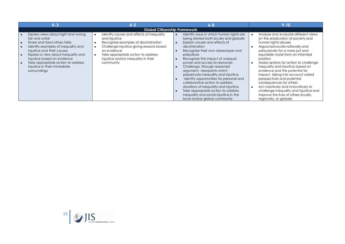| $K-3$                                                                                                                                                                                                                                                                                                                     | $4 - 5$                                                                                                                                                                                                                                                  | $6 - 8$                                                                                                                                                                                                                                                                                                                                                                                                                                                                                                                                                                                                      | $9 - 10$                                                                                                                                                                                                                                                                                                                                                                                                                                                                                                                                                                                  |
|---------------------------------------------------------------------------------------------------------------------------------------------------------------------------------------------------------------------------------------------------------------------------------------------------------------------------|----------------------------------------------------------------------------------------------------------------------------------------------------------------------------------------------------------------------------------------------------------|--------------------------------------------------------------------------------------------------------------------------------------------------------------------------------------------------------------------------------------------------------------------------------------------------------------------------------------------------------------------------------------------------------------------------------------------------------------------------------------------------------------------------------------------------------------------------------------------------------------|-------------------------------------------------------------------------------------------------------------------------------------------------------------------------------------------------------------------------------------------------------------------------------------------------------------------------------------------------------------------------------------------------------------------------------------------------------------------------------------------------------------------------------------------------------------------------------------------|
|                                                                                                                                                                                                                                                                                                                           | <b>Global Citizenship Framework</b>                                                                                                                                                                                                                      |                                                                                                                                                                                                                                                                                                                                                                                                                                                                                                                                                                                                              |                                                                                                                                                                                                                                                                                                                                                                                                                                                                                                                                                                                           |
| Express views about right and wrong,<br>fair and unfair<br>Share and treat others fairly<br>Identify examples of inequality and<br>injustice and their causes<br>Express a view about inequality and<br>injustice based on evidence<br>Take appropriate action to address<br>injustice in their immediate<br>surroundings | Identify causes and effects of inequality<br>and injustice<br>Recognize examples of discrimination<br>Challenge injustice giving reasons based<br>on evidence<br>Take appropriate action to address<br>injustice and/or inequality in their<br>community | Identify ways in which human rights are<br>being denied both locally and globally<br>Explain causes and effects of<br>discrimination<br>Recognize their own stereotypes and<br>prejudices<br>Recognize the impact of unequal<br>power and access to resources<br>Challenge, through reasoned<br>argument, viewpoints which<br>perpetuate inequality and injustice.<br>Identify opportunities for personal and<br>collaborative action to address<br>situations of inequality and injustice.<br>Take appropriate action to address<br>inequality and social injustice in the<br>local and/or global community | Analyze and evaluate different views<br>on the eradication of poverty and<br>human rights abuses<br>Argue/advocate rationally and<br>persuasively for a more just and<br>equitable world from an informed<br>position<br>Assess options for action to challenge<br>inequality and injustice based on<br>evidence and the potential for<br>impact, taking into account varied<br>perspectives and potential<br>consequences for others.<br>Act creatively and innovatively to<br>challenge inequality and injustice and<br>improve the lives of others locally,<br>regionally, or globally |

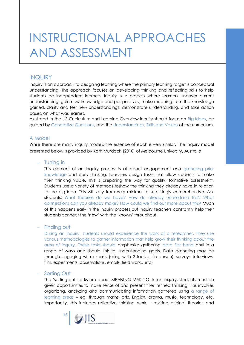# <span id="page-15-0"></span>INSTRUCTIONAL APPROACHES AND ASSESSMENT

#### <span id="page-15-1"></span>INQUIRY

Inquiry is an approach to designing learning where the primary learning target is conceptual understanding. The approach focuses on developing thinking and reflecting skills to help students be independent learners. Inquiry is a process where learners uncover current understanding, gain new knowledge and perspectives, make meaning from the knowledge gained, clarify and test new understandings, demonstrate understanding, and take action based on what was learned.

As stated in the JIS Curriculum and Learning Overview inquiry should focus on Big Ideas, be guided by Generative Questions, and the Understandings, Skills and Values of the curriculum.

#### A Model

While there are many inquiry models the essence of each is very similar. The inquiry model presented below is provided by Kath Murdoch [2010] of Melbourne University, Australia.

#### $-$  Tuning in

This element of an inquiry process is all about engagement *and* gathering prior knowledge and early thinking. Teachers design tasks that allow students to make their thinking visible. This is preparing the way for quality, formative assessment. Students use a variety of methods toshow the thinking they already have in relation to the big idea. This will vary from very minimal to surprisingly comprehensive. Ask students: What theories do we have? How do already understand this? What connections can you already make? How could we find out more about this? Much of this happens early in the inquiry process but inquiry teachers constantly help their students connect the 'new' with the 'known' throughout.

#### - Finding out

During an inquiry, students should experience the work of a researcher. They use various methodologies to gather information that help grow their thinking about the area of inquiry. These tasks should emphasize gathering data first hand and in a range of ways and should link to understanding goals. Data gathering may be through engaging with experts (using web 2 tools or in person), surveys, interviews, film, experiments, observations, emails, field work…etc)

#### - Sorting Out

The 'sorting out' tasks are about MEANING MAKING. In an inquiry, students must be given opportunities to make sense of and present their refined thinking. This involves organizing, analyzing and communicating information gathered using a range of learning areas – eg: through maths, arts, English, drama, music, technology, etc. Importantly, this includes reflective thinking work – revising original theories and

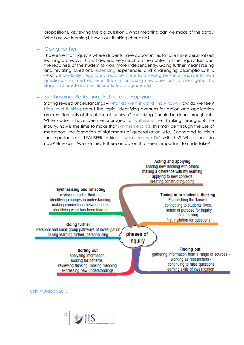propositions. Reviewing the big question…What meaning can we make of this data? What are we learning? How is our thinking changing?

#### Going Further

This element of inquiry is where students have opportunities to take more personalized learning pathways, This will depend very much on the content of the inquiry itself and the readiness of the student to work more independently. Going further means raising and revisiting questions, extending experiences and challenging assumptions. It is usually individually negotiated. May be students following personal inquiry into own questions – initiated earlier in the unit or raising new questions to investigate. This stage is characterized by differentiated programming

#### Synthesizing, Reflecting. Acting and Applying

Stating revised understandings **–** what do we think and know now? How do we feel? High level thinking about the topic. identifying avenues for action and application are key elements of this phase of inquiry. Generalizing (should be done throughout). While students have been encouraged to synthesize their thinking throughout the inquiry, now is the time to make that synthesis explicit. This may be through the use of metaphors, the formation of statements of generalization, etc. Connected to this is the importance of TRANSFER. Asking – what can we DO with this? What can I do now? How can I/we use this? Is there an action that seems important to undertake?



Kath Murdoch 2010

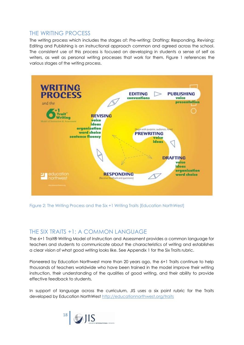#### <span id="page-17-0"></span>THE WRITING PROCESS

The writing process which includes the stages of: Pre-writing; Drafting; Responding, Revising; Editing and Publishing is an instructional approach common and agreed across the school. The consistent use of this process is focused on developing in students a sense of self as writers, as well as personal writing processes that work for them. Figure 1 references the various stages of the writing process.



Figure 2: The Writing Process and the Six +1 Writing Traits [Education NorthWest]

#### <span id="page-17-1"></span>THE SIX TRAITS +1: A COMMON LANGUAGE

The 6+1 Trait® Writing Model of Instruction and Assessment provides a common language for teachers and students to communicate about the characteristics of writing and establishes a clear vision of what good writing looks like. See Appendix 1 for the Six Traits rubric.

Pioneered by Education Northwest more than 20 years ago, the 6+1 Traits continue to help thousands of teachers worldwide who have been trained in the model improve their writing instruction, their understanding of the qualities of good writing, and their ability to provide effective feedback to students.

In support of language across the curriculum, JIS uses a six point rubric for the Traits developed by Education NorthWest <http://educationnorthwest.org/traits>

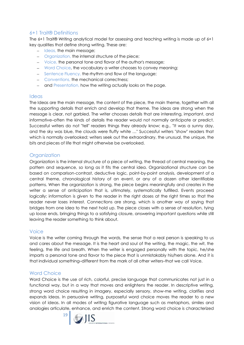#### 6+1 Trait® Definitions

The 6+1 Trait® Writing analytical model for assessing and teaching writing is made up of 6+1 key qualities that define strong writing. These are:

- Ideas, the main message;
- Organization, the internal structure of the piece;
- Voice, the personal tone and flavor of the author's message;
- Word Choice, the vocabulary a writer chooses to convey meaning;
- Sentence Fluency, the rhythm and flow of the language;
- Conventions, the mechanical correctness;
- and Presentation, how the writing actually looks on the page.

#### Ideas

The Ideas are the main message, the content of the piece, the main theme, together with all the supporting details that enrich and develop that theme. The ideas are strong when the message is clear, not garbled. The writer chooses details that are interesting, important, and informative–often the kinds of details the reader would not normally anticipate or predict. Successful writers do not "tell" readers things they already know; e.g., "It was a sunny day, and the sky was blue, the clouds were fluffy white …" Successful writers "show" readers that which is normally overlooked; writers seek out the extraordinary, the unusual, the unique, the bits and pieces of life that might otherwise be overlooked.

#### **Organization**

Organization is the internal structure of a piece of writing, the thread of central meaning, the pattern and sequence, so long as it fits the central idea. Organizational structure can be based on comparison-contrast, deductive logic, point-by-point analysis, development of a central theme, chronological history of an event, or any of a dozen other identifiable patterns. When the organization is strong, the piece begins meaningfully and creates in the writer a sense of anticipation that is, ultimately, systematically fulfilled. Events proceed logically; information is given to the reader in the right doses at the right times so that the reader never loses interest. Connections are strong, which is another way of saying that bridges from one idea to the next hold up. The piece closes with a sense of resolution, tying up loose ends, bringing things to a satisfying closure, answering important questions while still leaving the reader something to think about.

#### Voice

Voice is the writer coming through the words, the sense that a real person is speaking to us and cares about the message. It is the heart and soul of the writing, the magic, the wit, the feeling, the life and breath. When the writer is engaged personally with the topic, he/she imparts a personal tone and flavor to the piece that is unmistakably his/hers alone. And it is that individual something–different from the mark of all other writers–that we call Voice.

#### Word Choice

Word Choice is the use of rich, colorful, precise language that communicates not just in a functional way, but in a way that moves and enlightens the reader. In descriptive writing, strong word choice resulting in imagery, especially sensory, show-me writing, clarifies and expands ideas. In persuasive writing, purposeful word choice moves the reader to a new vision of ideas. In all modes of writing figurative language such as metaphors, similes and analogies articulate, enhance, and enrich the content. Strong word choice is characterized

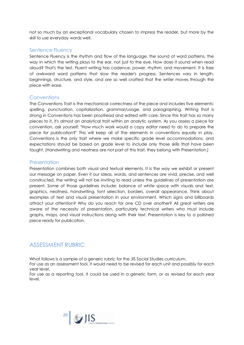not so much by an exceptional vocabulary chosen to impress the reader, but more by the skill to use everyday words well.

#### Sentence Fluency

Sentence Fluency is the rhythm and flow of the language, the sound of word patterns, the way in which the writing plays to the ear, not just to the eye. How does it sound when read aloud? That's the test. Fluent writing has cadence, power, rhythm, and movement. It is free of awkward word patterns that slow the reader's progress. Sentences vary in length, beginnings, structure, and style, and are so well crafted that the writer moves through the piece with ease.

#### **Conventions**

The Conventions Trait is the mechanical correctness of the piece and includes five elements: spelling, punctuation, capitalization, grammar/usage, and paragraphing. Writing that is strong in Conventions has been proofread and edited with care. Since this trait has so many pieces to it, it's almost an analytical trait within an analytic system. As you assess a piece for convention, ask yourself: "How much work would a copy editor need to do to prepare the piece for publication?" This will keep all of the elements in conventions equally in play. Conventions is the only trait where we make specific grade level accommodations, and expectations should be based on grade level to include only those skills that have been taught. (Handwriting and neatness are not part of this trait, they belong with Presentation.)

#### **Presentation**

Presentation combines both visual and textual elements. It is the way we exhibit or present our message on paper. Even if our ideas, words, and sentences are vivid, precise, and well constructed, the writing will not be inviting to read unless the guidelines of presentation are present. Some of those guidelines include: balance of white space with visuals and text, graphics, neatness, handwriting, font selection, borders, overall appearance. Think about examples of text and visual presentation in your environment. Which signs and billboards attract your attention? Why do you reach for one CD over another? All great writers are aware of the necessity of presentation, particularly technical writers who must include graphs, maps, and visual instructions along with their text. Presentation is key to a polished piece ready for publication.

#### <span id="page-19-0"></span>ASSESSMENT RUBRIC

What follows is a sample of a generic rubric for the JIS Social Studies curriculum.

For use as an assessment tool, it would need to be revised for each unit and possibly for each year level.

For use as a reporting tool, it could be used in a generic form, or as revised for each year level.

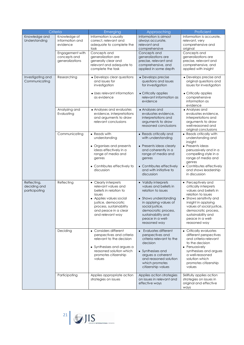| Criteria                                     |                                                    | Emerging                                                                                                                                                                                                 | Approaching                                                                                                                                                                                                               | Proficient                                                                                                                                                                                                                                                 |
|----------------------------------------------|----------------------------------------------------|----------------------------------------------------------------------------------------------------------------------------------------------------------------------------------------------------------|---------------------------------------------------------------------------------------------------------------------------------------------------------------------------------------------------------------------------|------------------------------------------------------------------------------------------------------------------------------------------------------------------------------------------------------------------------------------------------------------|
| Knowledge and<br>Understanding               | Knowledge of<br>information and<br>evidence        | Information is usually<br>correct, relevant and<br>adequate to complete the<br>task                                                                                                                      | Information is almost<br>always accurate,<br>relevant and<br>comprehensive                                                                                                                                                | Information is accurate,<br>relevant, very<br>comprehensive and<br>original                                                                                                                                                                                |
|                                              | Engagement with<br>concepts and<br>generalizations | Concepts and<br>generalization are<br>generally clear and<br>relevant and adequate to<br>complete the task                                                                                               | Concepts and<br>generalizations are<br>precise, relevant and<br>comprehensive, and<br>applied in some depth                                                                                                               | Concepts and<br>generalizations are<br>precise, relevant and<br>comprehensive, and<br>applied with insight                                                                                                                                                 |
| Investigating and<br>Communicating           | Researching                                        | • Develops clear questions<br>and issues for<br>investigation<br>• Uses relevant information<br>as evidence                                                                                              | • Develops precise<br>questions and issues<br>for investigation<br>• Critically applies<br>relevant information as<br>evidence                                                                                            | • Develops precise and<br>original questions and<br>issues for investigation<br>• Critically applies<br>comprehensive<br>information as<br>evidence                                                                                                        |
|                                              | Analyzing and<br>Evaluating                        | • Analyses and evaluates<br>evidence, interpretations<br>and arguments to draw<br>relevant conclusions                                                                                                   | • Analyses and<br>evaluates evidence,<br>interpretations and<br>arguments to draw<br>reasoned conclusions                                                                                                                 | • Analyses and<br>evaluates evidence,<br>interpretations and<br>arguments to draw<br>well-reasoned and<br>original conclusions                                                                                                                             |
|                                              | Communicating                                      | $\bullet$ Reads with<br>understanding<br>• Organises and presents<br>ideas effectively in a<br>range of media and<br>genres<br>• Contributes effectively to<br>discussion                                | • Reads critically and<br>with understanding<br>• Presents ideas clearly<br>and coherently in a<br>range of media and<br>genres<br>• Contributes effectively<br>and with initiative to<br>discussion                      | • Reads critically with<br>understanding and<br>insight<br>• Presents ideas<br>persuasively and in a<br>compelling style in a<br>range of media and<br>genres<br>• Contributes effectively<br>and shows leadership<br>in discussion                        |
| Reflecting,<br>deciding and<br>participating | Reflecting                                         | • Clearly interprets<br>relevant values and<br>beliefs in relation to<br>issues<br>• Applies values social<br>justice, democratic<br>process, sustainability<br>and peace in a clear<br>and relevant way | • Validly interprets<br>values and beliefs in<br>relation to issues<br>• Shows understanding<br>in applying values of<br>social justice,<br>democratic process,<br>sustainability and<br>peace in a well-<br>reasoned way | • Perceptively and<br>critically interprets<br>values and beliefs in<br>relation to issues<br>• Shows sensitivity and<br>insight in applying<br>values of social justice,<br>democratic process,<br>sustainability and<br>peace in a well-<br>reasoned way |
|                                              | Deciding                                           | • Considers different<br>perspectives and criteria<br>relevant to the decision<br>• Synthesises and argues a<br>reasoned solution which<br>promotes citizenship<br>values                                | Evaluates different<br>$\bullet$<br>perspectives and<br>criteria relevant to the<br>decision<br>• Synthesises and<br>argues a coherent<br>and reasoned solution<br>which promotes<br>citizenship values                   | • Critically evaluates<br>different perspectives<br>and criteria relevant<br>to the decision<br>• Persuasively<br>synthesises and argues<br>a well-reasoned<br>solution which<br>promotes citizenship<br>values                                            |
|                                              | Participating                                      | Applies appropriate action<br>strategies on issues                                                                                                                                                       | Applies action strategies<br>on issues in relevant and<br>effective ways                                                                                                                                                  | Skillfully applies action<br>strategies on issues in<br>original and effective<br>ways                                                                                                                                                                     |

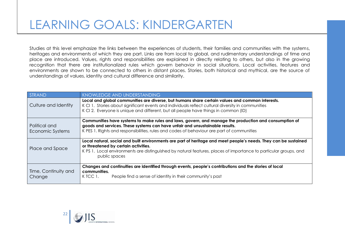# LEARNING GOALS: KINDERGARTEN

Studies at this level emphasize the links between the experiences of students, their families and communities with the systems, heritages and environments of which they are part. Links are from local to global, and rudimentary understandings of time and place are introduced. Values, rights and responsibilities are explained in directly relating to others, but also in the growing recognition that there are institutionalized rules which govern behavior in social situations. Local activities, features and environments are shown to be connected to others in distant places. Stories, both historical and mythical, are the source of understandings of values, identity and cultural difference and similarity.

<span id="page-21-0"></span>

| <b>STRAND</b>                     | KNOWLEDGE AND UNDERSTANDING                                                                                                                                                                                                                                                                  |
|-----------------------------------|----------------------------------------------------------------------------------------------------------------------------------------------------------------------------------------------------------------------------------------------------------------------------------------------|
| Culture and Identity              | Local and global communities are diverse, but humans share certain values and common interests.<br>K CI 1. Stories about significant events and individuals reflect cultural diversity in communities<br>K CI 2. Everyone is unique and different, but all people have things in common (ID) |
| Political and<br>Economic Systems | Communities have systems to make rules and laws, govern, and manage the production and consumption of<br>goods and services. These systems can have unfair and unsustainable results.<br>K PES 1. Rights and responsibilities, rules and codes of behaviour are part of communities          |
| Place and Space                   | Local natural, social and built environments are part of heritage and meet people's needs. They can be sustained<br>or threatened by certain activities.<br>KPS 1. Local environments are distinguished by natural features, places of importance to particular groups, and<br>public spaces |
| Time, Continuity and<br>Change    | Changes and continuities are identified through events, people's contributions and the stories of local<br>communities.<br>KTCC 1.<br>People find a sense of identity in their community's past                                                                                              |

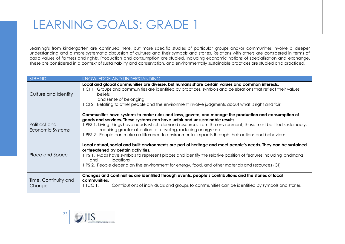Learning's from kindergarten are continued here, but more specific studies of particular groups and/or communities involve a deeper understanding and a more systematic discussion of cultures and their symbols and stories. Relations with others are considered in terms of basic values of fairness and rights. Production and consumption are studied, including economic notions of specialization and exchange. These are considered in a context of sustainability and conservation, and environmentally sustainable practices are studied and practiced.

<span id="page-22-0"></span>

| STRAND                            | KNOWLEDGE AND UNDERSTANDING                                                                                                                                                                                                                                                                                                                                                                                                                                                  |
|-----------------------------------|------------------------------------------------------------------------------------------------------------------------------------------------------------------------------------------------------------------------------------------------------------------------------------------------------------------------------------------------------------------------------------------------------------------------------------------------------------------------------|
| Culture and Identity              | Local and global communities are diverse, but humans share certain values and common interests.<br>CI 1. Groups and communities are identified by practices, symbols and celebrations that reflect their values,<br><b>beliefs</b><br>and sense of belonging<br>CI2. Relating to other people and the environment involve judgments about what is right and fair                                                                                                             |
| Political and<br>Economic Systems | Communities have systems to make rules and laws, govern, and manage the production and consumption of<br>goods and services. These systems can have unfair and unsustainable results.<br>PES 1. Living things have needs which demand resources from the environment; these must be filled sustainably,<br>requiring greater attention to recycling, reducing energy use<br>PES 2. People can make a difference to environmental impacts through their actions and behaviour |
| Place and Space                   | Local natural, social and built environments are part of heritage and meet people's needs. They can be sustained<br>or threatened by certain activities.<br>PS 1. Maps have symbols to represent places and identify the relative position of features including landmarks<br><i>locations</i><br>and<br>PS 2. People depend on the environment for energy, food, and other materials and resources (GI)                                                                     |
| Time, Continuity and<br>Change    | Changes and continuities are identified through events, people's contributions and the stories of local<br>communities.<br>Contributions of individuals and groups to communities can be identified by symbols and stories<br>1 TCC 1.                                                                                                                                                                                                                                       |

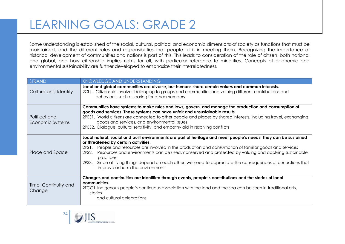Some understanding is established of the social, cultural, political and economic dimensions of society as functions that must be maintained, and the different roles and responsibilities that people fulfill in meeting them. Recognizing the importance of historical development of communities and nations is part of this. This leads to consideration of the role of citizen, both national and global, and how citizenship implies rights for all, with particular reference to minorities. Concepts of economic and environmental sustainability are further developed to emphasize their interrelatedness.

<span id="page-23-0"></span>

| STRAND                            | <b>KNOWLEDGE AND UNDERSTANDING</b>                                                                                                                                                                                                                                                                                                                                                                                                                                                                                                                           |
|-----------------------------------|--------------------------------------------------------------------------------------------------------------------------------------------------------------------------------------------------------------------------------------------------------------------------------------------------------------------------------------------------------------------------------------------------------------------------------------------------------------------------------------------------------------------------------------------------------------|
| Culture and Identity              | Local and global communities are diverse, but humans share certain values and common interests.<br>2Cl1. Citizenship involves belonging to groups and communities and valuing different contributions and<br>behaviours such as caring for other members                                                                                                                                                                                                                                                                                                     |
| Political and<br>Economic Systems | Communities have systems to make rules and laws, govern, and manage the production and consumption of<br>goods and services. These systems can have unfair and unsustainable results.<br>2PES1. World citizens are connected to other people and places by shared interests, including travel, exchanging<br>goods and services, and environmental issues<br>2PES2. Dialogue, cultural sensitivity, and empathy aid in resolving conflicts                                                                                                                   |
| Place and Space                   | Local natural, social and built environments are part of heritage and meet people's needs. They can be sustained<br>or threatened by certain activities.<br>People and resources are involved in the production and consumption of familiar goods and services<br>2PS1.<br>Resources and environments can be used, conserved and protected by valuing and applying sustainable<br>2PS2.<br>practices<br>Since all living things depend on each other, we need to appreciate the consequences of our actions that<br>2PS3.<br>improve or harm the environment |
| Time, Continuity and<br>Change    | Changes and continuities are identified through events, people's contributions and the stories of local<br>communities.<br>2TCC1. Indigenous people's continuous association with the land and the sea can be seen in traditional arts,<br>stories<br>and cultural celebrations                                                                                                                                                                                                                                                                              |

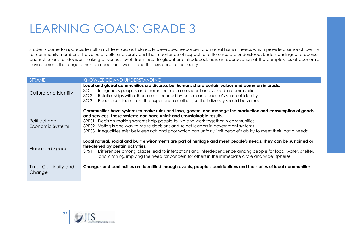Students come to appreciate cultural differences as historically developed responses to universal human needs which provide a sense of identity for community members. The value of cultural diversity and the importance of respect for difference are understood. Understandings of processes and institutions for decision making at various levels from local to global are introduced, as is an appreciation of the complexities of economic development, the range of human needs and wants, and the existence of inequality.

<span id="page-24-0"></span>

| <b>STRAND</b>                     | KNOWLEDGE AND UNDERSTANDING                                                                                                                                                                                                                                                                                                                                                                                                                                                                |
|-----------------------------------|--------------------------------------------------------------------------------------------------------------------------------------------------------------------------------------------------------------------------------------------------------------------------------------------------------------------------------------------------------------------------------------------------------------------------------------------------------------------------------------------|
| Culture and Identity              | Local and global communities are diverse, but humans share certain values and common interests.<br>Indigenous peoples and their influences are evident and valued in communities<br>3CI1.<br>Relationships with others are influenced by culture and people's sense of identity<br>3Cl <sub>2</sub> .<br>People can learn from the experience of others, so that diversity should be valued<br>3Cl <sub>3</sub> .                                                                          |
| Political and<br>Economic Systems | Communities have systems to make rules and laws, govern, and manage the production and consumption of goods<br>and services. These systems can have unfair and unsustainable results.<br>3PES1. Decision-making systems help people to live and work together in communities<br>3PES2. Voting is one way to make decisions and select leaders in government systems<br>3PES3. Inequalities exist between rich and poor which can unfairly limit people's ability to meet their basic needs |
| Place and Space                   | Local natural, social and built environments are part of heritage and meet people's needs. They can be sustained or<br>threatened by certain activities.<br>Differences among places lead to interactions and interdependence among people for food, water, shelter,<br>3PS1.<br>and clothing, implying the need for concern for others in the immediate circle and wider spheres                                                                                                          |
| Time, Continuity and<br>Change    | Changes and continuities are identified through events, people's contributions and the stories of local communities.                                                                                                                                                                                                                                                                                                                                                                       |

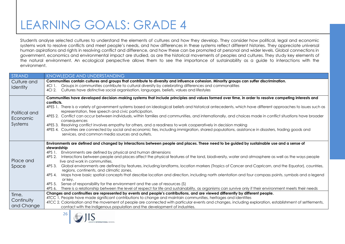Students analyse selected cultures to understand the elements of cultures and how they develop. They consider how political, legal and economic systems work to resolve conflicts and meet people's needs, and how differences in these systems reflect different histories. They appreciate universal human aspirations and rights in resolving conflict and difference, and how these can be promoted at personal and wider levels. Global connections in government, economics and environmental impact are studied, as are the historical movements of peoples and cultures. They study key elements of the natural environment. An ecological perspective allows them to see the importance of sustainability as a guide to interactions with the environment.

<span id="page-25-0"></span>

| <b>STRAND</b>                        | KNOWLEDGE AND UNDERSTANDING                                                                                                                                                                                                                                                                                                                                                                                                                                                                                                                                                                                                                                                                                                                                                                                                                                                                                                                                                                                                                                                |
|--------------------------------------|----------------------------------------------------------------------------------------------------------------------------------------------------------------------------------------------------------------------------------------------------------------------------------------------------------------------------------------------------------------------------------------------------------------------------------------------------------------------------------------------------------------------------------------------------------------------------------------------------------------------------------------------------------------------------------------------------------------------------------------------------------------------------------------------------------------------------------------------------------------------------------------------------------------------------------------------------------------------------------------------------------------------------------------------------------------------------|
| Culture and<br><b>Identity</b>       | Communities contain cultures and groups that contribute to diversity and influence cohesion. Minority groups can suffer discrimination.<br>Groups in communities contribute to cultural diversity by celebrating differences and commonalities<br>4CI 1.<br>Cultures have distinctive social organisation, languages, beliefs, values and lifestyles<br>4Cl 2.                                                                                                                                                                                                                                                                                                                                                                                                                                                                                                                                                                                                                                                                                                             |
| Political and<br>Economic<br>Systems | Communities have developed decision-making systems that include principles and values formed over time, in order to resolve competing interests and<br>conflicts.<br>4PES 1. There is a variety of government systems based on ideological beliefs and historical antecedents, which have different approaches to issues such as<br>representation, free speech and civic participation.<br>4PES 2. Conflict can occur between individuals, within families and communities, and internationally, and choices made in conflict situations have broader<br>consequences<br>4PES 3. Resolving conflict involves empathy for others, and a readiness to work cooperatively in decision making<br>4PES 4. Countries are connected by social and economic ties, including immigration, shared populations, assistance in disasters, trading goods and<br>services, and common media sources and outlets.                                                                                                                                                                        |
| Place and<br>Space                   | Environments are defined and changed by interactions between people and places. These need to be guided by sustainable use and a sense of<br>stewardship<br>Environments are defined by physical and human dimensions<br>4PS 1.<br>Interactions between people and places affect the physical features of the land, biodiversity, water and atmosphere as well as the ways people<br>4PS 2.<br>live and work in communities.<br>Global environments are defined by features, including landforms, location markers (Tropics of Cancer and Capricorn, and the Equator), countries,<br>4PS 3.<br>regions, continents, and climatic zones.<br>Maps have basic spatial concepts that describe location and direction, including north orientation and four compass points, symbols and a legend<br>4PS 4.<br>or key.<br>Sense of responsibility for the environment and the use of resources (S)<br>4PS 5.<br>There is a relationship between the level of respect for life and sustainability, as organisms can survive only if their environment meets their needs<br>4PS 6. |
| Time,<br>Continuity<br>and Change    | Changes and continuities are represented by events and people's contributions, and are viewed differently by different people.<br>4TCC 1. People have made significant contributions to change and maintain communities, heritages and identities<br>4TCC 2. Colonisation and the movement of people are connected with particular events and changes, including exploration, establishment of settlements,<br>contact with the Indigenous population and the development of industries.                                                                                                                                                                                                                                                                                                                                                                                                                                                                                                                                                                                   |



 $\overline{\mathbf{a}}$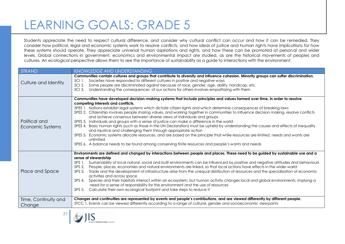Students appreciate the need to respect cultural difference, and consider why cultural conflict can occur and how it can be remedied. They consider how political, legal and economic systems work to resolve conflicts, and how ideas of justice and human rights have implications for how these systems should operate. They appreciate universal human aspirations and rights, and how these can be promoted at personal and wider levels. Global connections in government, economics and environmental impact are studied, as are the historical movements of peoples and cultures. An ecological perspective allows them to see the importance of sustainability as a guide to interactions with the environment.

<span id="page-26-0"></span>

| STRAND                            | KNOWLEDGE AND UNDERSTANDING                                                                                                                                                                                                                                                                                                                                                                                                                                                                                                                                                                                                                                                                                                                                                                                                                                                                                                                                                                                                                                                    |
|-----------------------------------|--------------------------------------------------------------------------------------------------------------------------------------------------------------------------------------------------------------------------------------------------------------------------------------------------------------------------------------------------------------------------------------------------------------------------------------------------------------------------------------------------------------------------------------------------------------------------------------------------------------------------------------------------------------------------------------------------------------------------------------------------------------------------------------------------------------------------------------------------------------------------------------------------------------------------------------------------------------------------------------------------------------------------------------------------------------------------------|
| Culture and Identity              | Communities contain cultures and groups that contribute to diversity and influence cohesion. Minority groups can suffer discrimination.<br>Societies have responded to different cultures in positive and negative ways<br>5CI 1.<br>Some people are discriminated against because of race, gender, age, ability, handicap, etc.<br>5CI 2.<br>Understanding the consequences of our actions for others involves empathizing with them<br>5CI 3.                                                                                                                                                                                                                                                                                                                                                                                                                                                                                                                                                                                                                                |
| Political and<br>Economic Systems | Communities have developed decision-making systems that include principles and values formed over time, in order to resolve<br>competing interests and conflicts.<br>5PES 1. Nations establish legal systems which dictate citizen rights and which determine consequences of breaking laws<br>5PES 2. Citizenship involves people sharing values, and working together in communities to influence decision making, resolve conflicts<br>and achieve consensus between diverse views of individuals and groups<br>5PES 3. Individuals and groups with a sense of justice can make a difference in the world<br>5PES 4. Basic human rights (such as those in the UN Declaration) must be upheld by understanding the causes and effects of inequality<br>and injustice and challenging them through appropriate action<br>5PES 5. Economic systems allocate resources, and are based on the principle that while resources are limited, needs and wants are<br>unlimited<br>5PES 6. A balance needs to be found among conserving finite resources and people's wants and needs |
| Place and Space                   | Environments are defined and changed by interactions between people and places. These need to be guided by sustainable use and a<br>sense of stewardship<br>Sustainability of local natural, social and built environments can be influenced by positive and negative attitudes and behaviours<br>5PS 1.<br>People, places, economies and natural environments are linked, so that local actions have effects in the wider world<br>5PS 2.<br>Trade and the development of infrastructure arise from the unequal distribution of resources and the specialization of economic<br>5PS 3.<br>activities and across space<br>5PS 4. Species and their habitats interact within an ecosystem, but human activity changes local and global environments, implying a<br>need for a sense of responsibility for the environment and the use of resources<br>Calculate their own ecological footprint and take steps to reduce it<br>5PS 5.                                                                                                                                            |
| Time, Continuity and<br>Change    | Changes and continuities are represented by events and people's contributions, and are viewed differently by different people.<br>5TCC 1. Events can be viewed differently according to a range of cultural, gender and socioeconomic viewpoints                                                                                                                                                                                                                                                                                                                                                                                                                                                                                                                                                                                                                                                                                                                                                                                                                               |



 $\overline{\mathbf{a}}$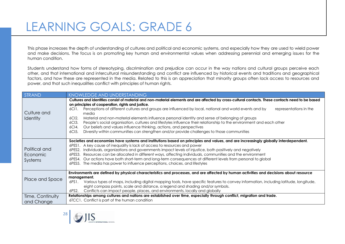This phase increases the depth of understanding of cultures and political and economic systems, and especially how they are used to wield power and make decisions. The focus is on promoting key human and environmental values when addressing perennial and emerging issues for the human condition.

Students understand how forms of stereotyping, discrimination and prejudice can occur in the way nations and cultural groups perceive each other, and that international and intercultural misunderstanding and conflict are influenced by historical events and traditions and geographical factors, and how these are represented in the media. Related to this is an appreciation that minority groups often lack access to resources and power, and that such inequalities conflict with principles of human rights.

<span id="page-27-0"></span>

| <b>STRAND</b>                        | KNOWLEDGE AND UNDERSTANDING                                                                                                                                                                                                                                                                                                                                                                                                                                                                                                                                                                                                                                                                                                                                                                        |
|--------------------------------------|----------------------------------------------------------------------------------------------------------------------------------------------------------------------------------------------------------------------------------------------------------------------------------------------------------------------------------------------------------------------------------------------------------------------------------------------------------------------------------------------------------------------------------------------------------------------------------------------------------------------------------------------------------------------------------------------------------------------------------------------------------------------------------------------------|
| Culture and<br><b>Identity</b>       | Cultures and identities consist of material and non-material elements and are affected by cross-cultural contacts. These contacts need to be based<br>on principles of cooperation, rights and justice.<br>Perceptions of different cultures and groups are influenced by local, national and world events and by<br>representations in the<br>6CII.<br>media<br>Material and non-material elements influence personal identity and sense of belonging of groups<br>6CI2.<br>People's social organisation, cultures and lifestyles influence their relationship to the environment and each other<br>6CI3.<br>Our beliefs and values influence thinking, actions, and perspectives<br>6CI4.<br>Diversity within communities can strengthen and/or provide challenges to those communities<br>6CI5. |
| Political and<br>Economic<br>Systems | Societies and economies have systems and institutions based on principles and values, and are increasingly globally interdependent.<br>6PES1. A key cause of inequality is lack of access to resources and power<br>6PES2. Individuals, organizations and governments impact levels of injustice, both positively and negatively<br>Resources can be allocated in different ways, affecting individuals, communities and the environment<br>6PES3.<br>6PES4. Our actions have both short-term and long-term consequences at different levels from personal to global<br>6PES5. The media has power to influence perceptions, choices, and lifestyles                                                                                                                                               |
| Place and Space<br>Time, Continuity  | Environments are defined by physical characteristics and processes, and are affected by human activities and decisions about resource<br>management.<br>Various types of maps, including digital mapping tools, have specific features to convey information, including latitude, longitude,<br>6PS1.<br>eight compass points, scale and distance, a legend and shading and/or symbols.<br>Conflicts can impact people, places, and environments, locally and globally<br>6PS2.<br>Relationships among cultures and nations are established over time, especially through conflict, migration and trade.                                                                                                                                                                                           |
| and Change                           | 6TCC1. Conflict is part of the human condition                                                                                                                                                                                                                                                                                                                                                                                                                                                                                                                                                                                                                                                                                                                                                     |

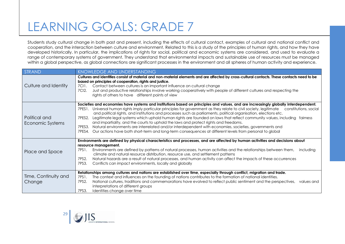Students study cultural change in both past and present, including the effects of cultural contact, examples of cultural and national conflict and cooperation, and the interaction between culture and environment. Related to this is a study of the principles of human rights, and how they have developed historically. In particular, the implications of rights for social, political and economic systems are considered, and used to evaluate a range of contemporary systems of government. They understand that environmental impacts and sustainable use of resources must be managed within a global perspective, as global connections are significant processes in the environment and all spheres of human activity and experience.

<span id="page-28-0"></span>

| STRAND                            | <b>KNOWLEDGE AND UNDERSTANDING</b>                                                                                                                                                                                                                                                                                                                                                                                                                                                                                                                                                                                                                                                                                                                                                                                                                                     |
|-----------------------------------|------------------------------------------------------------------------------------------------------------------------------------------------------------------------------------------------------------------------------------------------------------------------------------------------------------------------------------------------------------------------------------------------------------------------------------------------------------------------------------------------------------------------------------------------------------------------------------------------------------------------------------------------------------------------------------------------------------------------------------------------------------------------------------------------------------------------------------------------------------------------|
| Culture and Identity              | Cultures and identities consist of material and non-material elements and are affected by cross-cultural contacts. These contacts need to be<br>based on principles of cooperation, rights and justice.<br>Contact between cultures is an important influence on cultural change<br>7CI1.<br>Just and productive relationships involve working cooperatively with people of different cultures and respecting the<br>7Cl <sub>2</sub> .<br>rights of others to have different points of view                                                                                                                                                                                                                                                                                                                                                                           |
| Political and<br>Economic Systems | Societies and economies have systems and institutions based on principles and values, and are increasingly globally interdependent.<br>7PES1. Universal human rights imply particular principles for government as they relate to civil society, legitimate constitutions, social<br>and political rights, and institutions and processes such as parliaments, political organisation, elections etc.<br>Legitimate legal systems which uphold human rights are founded on laws that reflect community values, including fairness<br>7PES2.<br>and impartiality, and the courts to uphold the laws and protect rights and freedoms.<br>7PES3. Natural environments are interrelated and/or interdependent with economies, societies, governments and<br>7PES4. Our actions have both short-term and long-term consequences at different levels from personal to global |
| Place and Space                   | Environments are defined by physical characteristics and processes, and are affected by human activities and decisions about<br>resource management.<br>Environments are defined by patterns of natural processes, human activities and the relationships between them,<br>including<br>7PS1.<br>climate and natural resource distribution, resource use, and settlement patterns<br>Natural hazards are a result of natural processes, and human activity can affect the impacts of these occurrences<br>7PS2.<br>Conflicts can impact environments, locally and globally<br>7PS3.                                                                                                                                                                                                                                                                                    |
| Time, Continuity and<br>Change    | Relationships among cultures and nations are established over time, especially through conflict, migration and trade.<br>The context and influences on the founding of nations contributes to the formation of national identities.<br>7PS1.<br>National cultures, traditions and commemorations have evolved to reflect public sentiment and the perspectives, values and<br>7PS2.<br>interpretations of different groups<br>Identities change over time<br>7PS3.                                                                                                                                                                                                                                                                                                                                                                                                     |

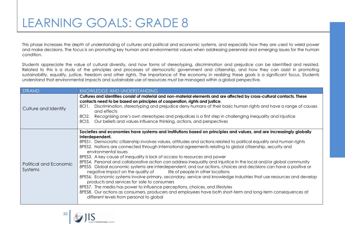This phase increases the depth of understanding of cultures and political and economic systems, and especially how they are used to wield power and make decisions. The focus is on promoting key human and environmental values when addressing perennial and emerging issues for the human condition.

Students appreciate the value of cultural diversity, and how forms of stereotyping, discrimination and prejudice can be identified and resisted. Related to this is a study of the principles and processes of democratic government and citizenship, and how they can assist in promoting sustainability, equality, justice, freedom and other rights. The importance of the economy in realizing these goals is a significant focus. Students understand that environmental impacts and sustainable use of resources must be managed within a global perspective.

<span id="page-29-0"></span>

| STRAND                            | KNOWLEDGE AND UNDERSTANDING                                                                                                                                                                                                                                                                                                                                                                                                                                                                                                                                                                                                                                                                                                                                                                                                                                                                                                                                                                                                                                                                                                                                                                                        |
|-----------------------------------|--------------------------------------------------------------------------------------------------------------------------------------------------------------------------------------------------------------------------------------------------------------------------------------------------------------------------------------------------------------------------------------------------------------------------------------------------------------------------------------------------------------------------------------------------------------------------------------------------------------------------------------------------------------------------------------------------------------------------------------------------------------------------------------------------------------------------------------------------------------------------------------------------------------------------------------------------------------------------------------------------------------------------------------------------------------------------------------------------------------------------------------------------------------------------------------------------------------------|
| Culture and Identity              | Cultures and identities consist of material and non-material elements and are affected by cross-cultural contacts. These<br>contacts need to be based on principles of cooperation, rights and justice.<br>Discrimination, stereotyping and prejudice deny humans of their basic human rights and have a range of causes<br>8CI 1.<br>and effects<br>Recognising one's own stereotypes and prejudices is a first step in challenging inequality and injustice<br>8Cl <sub>2</sub> .<br>Our beliefs and values influence thinking, actions, and perspectives<br>8CI3.                                                                                                                                                                                                                                                                                                                                                                                                                                                                                                                                                                                                                                               |
| Political and Economic<br>Systems | Societies and economies have systems and institutions based on principles and values, and are increasingly globally<br>interdependent.<br>8PES1. Democratic citizenship involves values, attitudes and actions related to political equality and human rights<br>8PES2. Nations are connected through international agreements relating to global citizenship, security and<br>environmental issues<br>8PES3. A key cause of inequality is lack of access to resources and power<br>8PES4. Personal and collaborative action can address inequality and injustice in the local and/or global community<br>8PES5. Global economic systems are interdependent, and our actions, choices and decisions can have a positive or<br>negative impact on the quality of life of people in other locations<br>8PES6. Economic systems involve primary, secondary, service and knowledge industries that use resources and develop<br>products and services for sale to consumers<br>8PES7. The media has power to influence perceptions, choices, and lifestyles<br>8PES8. Our actions as consumers, producers and employees have both short-term and long-term consequences at<br>different levels from personal to global |

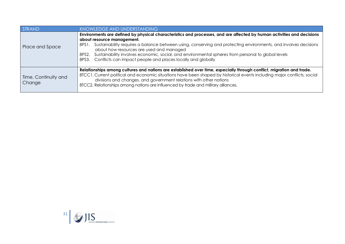| <b>STRAND</b>                  | KNOWLEDGE AND UNDERSTANDING                                                                                                                                                                                                                                                                                                                                                                                                                                                                                         |
|--------------------------------|---------------------------------------------------------------------------------------------------------------------------------------------------------------------------------------------------------------------------------------------------------------------------------------------------------------------------------------------------------------------------------------------------------------------------------------------------------------------------------------------------------------------|
| Place and Space                | Environments are defined by physical characteristics and processes, and are affected by human activities and decisions<br>about resource management.<br>Sustainability requires a balance between using, conserving and protecting environments, and involves decisions<br>8PS1.<br>about how resources are used and managed<br>Sustainability involves economic, social, and environmental spheres from personal to global levels<br>8PS2.<br>Conflicts can impact people and places locally and globally<br>8PS3. |
| Time, Continuity and<br>Change | Relationships among cultures and nations are established over time, especially through conflict, migration and trade.<br>8TCC1. Current political and economic situations have been shaped by historical events including major conflicts, social<br>divisions and changes, and government relations with other nations<br>8TCC2. Relationships among nations are influenced by trade and military alliances.                                                                                                       |

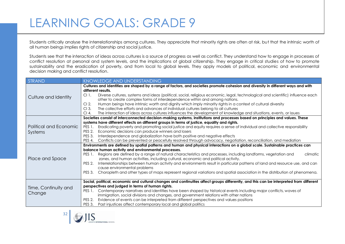Students critically analyse the interrelationships among cultures. They appreciate that minority rights are often at risk, but that the intrinsic worth of all human beings implies rights of citizenship and social justice.

Students see that the interaction of ideas across cultures is a source of progress as well as conflict. They understand how to engage in processes of conflict resolution at personal and system levels, and the implications of global citizenship. They engage in critical studies of how to promote sustainability and the eradication of poverty, and from local to global levels. They apply models of political, economic and environmental decision making and conflict resolution.

<span id="page-31-0"></span>

| <b>STRAND</b>                     | KNOWLEDGE AND UNDERSTANDING                                                                                                                                                                                                                                                                                                                                                                                                                                                                                                                                                                                                                                                                                                                   |
|-----------------------------------|-----------------------------------------------------------------------------------------------------------------------------------------------------------------------------------------------------------------------------------------------------------------------------------------------------------------------------------------------------------------------------------------------------------------------------------------------------------------------------------------------------------------------------------------------------------------------------------------------------------------------------------------------------------------------------------------------------------------------------------------------|
| Culture and Identity              | Cultures and identities are shaped by a range of factors, and societies promote cohesion and diversity in different ways and with<br>different results.<br>Diverse cultures, systems and ideas (political, social, religious economic, legal, technological and scientific) influence each<br>$Cl1$ .<br>other to create complex forms of interdependence within and among nations.<br>Human beings have intrinsic worth and dignity which imply minority rights in a context of cultural diversity<br>CI 2.<br>The collective efforts and advances of individual cultures belong to all cultures<br>CI 3.<br>The interaction of ideas across cultures influences the development of knowledge and situations, events, or issues<br>Cl 4.     |
| Political and Economic<br>Systems | Societies consist of interconnected decision-making systems, institutions and processes based on principles and values. These<br>systems have different effects on different groups in terms of justice, equality and rights.<br>Eradicating poverty and promoting social justice and equity requires a sense of individual and collective responsibility<br><b>PES 1.</b><br>Economic decisions can produce winners and losers<br><b>PES 2.</b><br>Interdependence and globalization have both positive and negative effects<br><b>PES 3.</b><br>Conflicts can be prevented or peacefully resolved through advocacy, negotiation, reconciliation, and mediation<br>PES 4.                                                                    |
| Place and Space                   | Environments are defined by spatial patterns and human and physical interactions on a global scale. Sustainable practices can<br>balance human activity and environmental processes.<br>Regions are defined by a range of natural characteristics and processes, including landforms, vegetation and<br>climatic<br><b>PES 1.</b><br>zones, and human activities, including cultural, economic and political activity.<br>Interrelationships between human activity and environments result in particular patterns of land and resource use, and can<br><b>PES 2.</b><br>cause environmental problems<br>Choropleth and other types of maps represent regional variations and spatial association in the distribution of phenomena.<br>PES 3. |
| Time, Continuity and<br>Change    | Social, political, economic and cultural changes and continuities affect groups differently, and this can be interpreted from different<br>perspectives and judged in terms of human rights.<br>Contemporary narratives and identities have been shaped by historical events including major conflicts, waves of<br>PES 1.<br>immigration, social divisions and changes, and government relations with other nations<br>Evidence of events can be interpreted from different perspectives and values positions<br><b>PES 2.</b><br><b>PES 3.</b><br>Past injustices affect contemporary local and global politics                                                                                                                             |

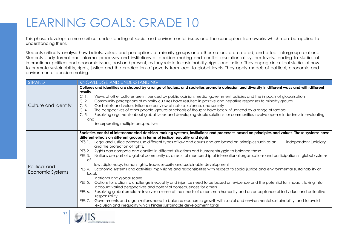This phase develops a more critical understanding of social and environmental issues and the conceptual frameworks which can be applied to understanding them.

Students critically analyse how beliefs, values and perceptions of minority groups and other nations are created, and affect intergroup relations. Students study formal and informal processes and institutions of decision making and conflict resolution at system levels, leading to studies of international political and economic issues, past and present, as they relate to sustainability, rights and justice. They engage in critical studies of how to promote sustainability, rights, justice and the eradication of poverty from local to global levels. They apply models of political, economic and environmental decision making.

<span id="page-32-0"></span>

| STRAND                            | KNOWLEDGE AND UNDERSTANDING                                                                                                                                                                                                                                                                                                                                                                                                                                                                                                                                                                                                                                                                                                                                                                                                                                                                                                                                                                                                                                                                                                                                                                                                                                                                                                  |
|-----------------------------------|------------------------------------------------------------------------------------------------------------------------------------------------------------------------------------------------------------------------------------------------------------------------------------------------------------------------------------------------------------------------------------------------------------------------------------------------------------------------------------------------------------------------------------------------------------------------------------------------------------------------------------------------------------------------------------------------------------------------------------------------------------------------------------------------------------------------------------------------------------------------------------------------------------------------------------------------------------------------------------------------------------------------------------------------------------------------------------------------------------------------------------------------------------------------------------------------------------------------------------------------------------------------------------------------------------------------------|
| Culture and Identity              | Cultures and identities are shaped by a range of factors, and societies promote cohesion and diversity in different ways and with different<br>results.<br>$Cl1$ .<br>Views of other cultures are influenced by public opinion, media, government policies and the impacts of globalisation<br>Community perceptions of minority cultures have resulted in positive and negative responses to minority groups<br>Cl <sub>2</sub><br>CI 3.<br>Our beliefs and values influence our view of nature, science, and society<br>The perspectives of other people, groups or schools of thought have been influenced by a range of factors<br>Cl 4.<br>Resolving arguments about global issues and developing viable solutions for communities involve open mindedness in evaluating<br>CI 5.<br>and<br>incorporating multiple perspectives                                                                                                                                                                                                                                                                                                                                                                                                                                                                                         |
| Political and<br>Economic Systems | Societies consist of interconnected decision-making systems, institutions and processes based on principles and values. These systems have<br>different effects on different groups in terms of justice, equality and rights.<br>Legal and justice systems use different types of law and courts and are based on principles such as an<br>PES 1.<br>independent judiciary<br>and the protection of rights.<br>Rights can compete and conflict in different situations and humans struggle to balance these<br><b>PES 2.</b><br>Nations are part of a global community as a result of membership of international organisations and participation in global systems<br>PES 3.<br>of<br>law, diplomacy, human rights, trade, security and sustainable development<br>Economic systems and activities imply rights and responsibilities with respect to social justice and environmental sustainability at<br>PES 4.<br>local,<br>national and global scales<br>Options for action to challenge inequality and injustice need to be based on evidence and the potential for impact, taking into<br><b>PES 5.</b><br>account varied perspectives and potential consequences for others<br>Resolving global problems involves a sense of the needs of a common humanity and an acceptance of individual and collective<br>PES 6. |
|                                   | responsibility<br>Governments and organizations need to balance economic growth with social and environmental sustainability, and to avoid<br><b>PES 7.</b><br>exclusion and inequality which hinder sustainable development for all                                                                                                                                                                                                                                                                                                                                                                                                                                                                                                                                                                                                                                                                                                                                                                                                                                                                                                                                                                                                                                                                                         |



 $\overline{\mathbf{a}}$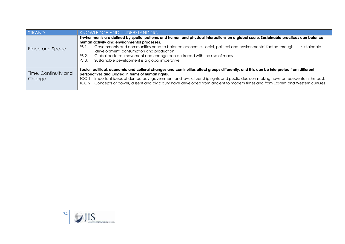| STRAND                         | KNOWLEDGE AND UNDERSTANDING                                                                                                                                                                                                                                                                                                                                                                                                                                                                                         |
|--------------------------------|---------------------------------------------------------------------------------------------------------------------------------------------------------------------------------------------------------------------------------------------------------------------------------------------------------------------------------------------------------------------------------------------------------------------------------------------------------------------------------------------------------------------|
| Place and Space                | Environments are defined by spatial patterns and human and physical interactions on a global scale. Sustainable practices can balance<br>human activity and environmental processes.<br>Governments and communities need to balance economic, social, political and environmental factors through<br>sustainable<br>PS 1.<br>development, consumption and production<br>Global patterns, movement and change can be traced with the use of maps<br>PS 2.<br>Sustainable development is a global imperative<br>PS 3. |
| Time, Continuity and<br>Change | Social, political, economic and cultural changes and continuities affect groups differently, and this can be interpreted from different<br>perspectives and judged in terms of human rights.<br>Important ideas of democracy, government and law, citizenship rights and public decision making have antecedents in the past.<br>TCC 1.<br>TCC 2. Concepts of power, dissent and civic duty have developed from ancient to modern times and from Eastern and Western cultures                                       |

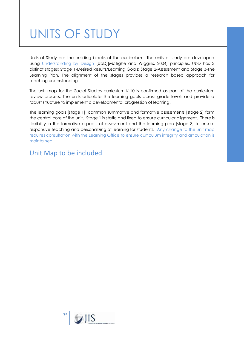# <span id="page-34-0"></span>UNITS OF STUDY

Units of Study are the building blocks of the curriculum. The units of study are developed using Understanding by Design [UbD][McTighe and Wiggins, 2004] principles. UbD has 3 distinct stages: Stage 1-Desired Results/Learning Goals; Stage 2-Assessment and Stage 3-The Learning Plan. The alignment of the stages provides a research based approach for teaching understanding.

The unit map for the Social Studies curriculum K-10 is confirmed as part of the curriculum review process. The units articulate the learning goals across grade levels and provide a robust structure to implement a developmental progression of learning.

The learning goals [stage 1], common summative and formative assessments [stage 2] form the central core of the unit. Stage 1 is static and fixed to ensure curricular alignment. There is flexibility in the formative aspects of assessment and the learning plan [stage 3] to ensure responsive teaching and personalizing of learning for students. Any change to the unit map requires consultation with the Learning Office to ensure curriculum integrity and articulation is maintained.

#### Unit Map to be included

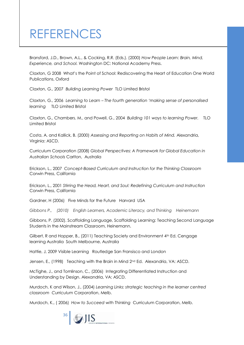# <span id="page-35-0"></span>REFERENCES

Bransford, J.D., Brown, A.L., & Cocking, R.R. (Eds.). (2000) *How People Learn: Brain, Mind, Experience, and School.* Washington DC: National Academy Press.

Claxton, G 2008 What's the Point of School: Rediscovering the Heart of Education One World Publications, Oxford

Claxton, G., 2007 *Building Learning Power* TLO Limited Bristol

Claxton, G., 2006 *Learning to Learn – The fourth generation 'making sense of personalised learning* TLO Limited Bristol

Claxton, G., Chambers. M., and Powell, G., 2004 *Building 101 ways to learning Power.* TLO Limited Bristol

Costa, A. and Kallick, B. (2000) *Assessing and Reporting on Habits of Mind.* Alexandria, Virginia: ASCD.

Curriculum Corporation (2008) *Global Perspectives: A Framework for Global Education in Australian Schools* Carlton, Australia

Erickson, L., 2007 *Concept-Based Curriculum and Instruction for the Thinking Classroom* Corwin Press, California

Erickson, L., 2001 *Stirring the Head, Heart, and Soul: Redefining Curriculum and Instruction* Corwin Press, California

Gardner, H (2006) Five Minds for the Future Harvard USA

*Gibbons P., (2010) English Learners, Academic Literacy, and Thinking Heinemann* 

Gibbons, P. (2002). Scaffolding Language, Scaffolding Learning: Teaching Second Language Students in the Mainstream Classroom, Heinemann.

Gilbert, R and Hopper, B., (2011) Teaching Society and Environment 4th Ed. Cengage learning Australia South Melbourne, Australia

Hattie, J, 2009 Visible Learning Routledge San Fransisco and London

Jensen, E., (1998) Teaching with the Brain in Mind 2<sup>nd</sup> Ed. Alexandria, VA: ASCD.

McTighe, J., and Tomlinson, C., (2006) Integrating Differentiated Instruction and Understanding by Design. Alexandria, VA: ASCD.

Murdoch, K and Wilson, J., (2004) *Learning Links: strategic teaching in the learner centred classroom Curriculum* Corporation, Melb.

Murdoch, K., ( 2006) *How to Succeed with Thinking* Curriculum Corporation, Melb.

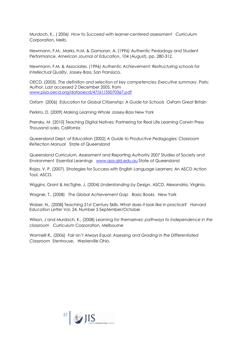Murdoch, K., ( 2006*) How to Succeed with learner-centered assessment* Curriculum Corporation, Melb.

Newmann, F.M., Marks, H.M. & Gamoran, A. (1996) Authentic Pedadogy and Student Performance. *American Journal of Education*, 104 (August), pp. 280-312.

Newmann, F.M. & Associates. (1996) *Authentic Achievement: Restructuring schools for Intellectual Quality*. Jossey-Bass, San Fransisco.

OECD. (2005). *The definition and selection of key competencies: Executive summary*. Paris: Author. Last accessed 2 December 2005, from [www.pisa.oecd.org/dataoecd/47/61/35070367.pdf](http://www.pisa.oecd.org/dataoecd/47/61/35070367.pdf)

Oxfam (2006) *Education for Global Citizenship: A Guide for Schools* OxFam Great Britain

Perkins, D. (2009) *Making Learning Whole* Jossey-Bass New York

Prensky, M [2010] Teaching Digital Natives: Partnering for Real Life Learning Corwin Press Thousand oaks, California

Queensland Dept. of Education (2002) *A Guide to Productive Pedagogies: Classroom Reflection Manual* State of Queensland

Queensland Curriculum, Assessment and Reporting Authority 2007 Studies of Society and Environment Essential Learnings [www.qsa.qld.edu.au](http://www.qsa.qld.edu.au/) State of Queensland

Rojas, V. P. (2007). Strategies for Success with English Language Learners: An ASCD Action Tool, ASCD.

Wiggins, Grant & McTighe, J. (2004) *Understanding by Design*. ASCD, Alexandria, Virginia.

Wagner, T., (2008) *The Global Achievement Gap* Basic Books New York

Walser, N., (2008} Teaching 21st Century Skills. What does it look like in practice? *Harvard Education Letter* Vol. 24, Number 5 September/October

Wilson, J and Murdoch, K., (2008) *Learning for themselves: pathways to independence in the classroom* Curriculum Corporation, Melbourne

Wormelli R., (2006) *Fair isn't Always Equal: Assessing and Grading in the Differentiated Classroom* Stenhouse, Westerville Ohio.

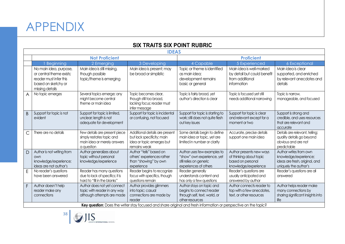

<span id="page-37-0"></span>

|   | SIX IRAIIS SIX PUINI RUBRIC                                                                                            |                                                                                                         |                                                                                                                                                                                                         |                                                                                                               |                                                                                                  |                                                                                                            |  |
|---|------------------------------------------------------------------------------------------------------------------------|---------------------------------------------------------------------------------------------------------|---------------------------------------------------------------------------------------------------------------------------------------------------------------------------------------------------------|---------------------------------------------------------------------------------------------------------------|--------------------------------------------------------------------------------------------------|------------------------------------------------------------------------------------------------------------|--|
|   |                                                                                                                        |                                                                                                         | <b>IDEAS</b>                                                                                                                                                                                            |                                                                                                               |                                                                                                  |                                                                                                            |  |
|   |                                                                                                                        | <b>Not Proficient</b>                                                                                   |                                                                                                                                                                                                         | <b>Proficient</b>                                                                                             |                                                                                                  |                                                                                                            |  |
|   | <b>Beginning</b>                                                                                                       | 2 Emerging                                                                                              | 3 Developing                                                                                                                                                                                            | 4 Capable                                                                                                     | 5 Experienced                                                                                    | 6 Exceptional                                                                                              |  |
|   | No main idea, purpose,<br>or central theme exists:<br>reader must infer this<br>based on sketchy or<br>missing details | Main idea is still missing,<br>though possible<br>topic/theme is emerging                               | Main idea is present; may<br>be broad or simplistic                                                                                                                                                     | Topic or theme is identified<br>as main idea:<br>development remains<br>basic or general                      | Main idea is well-marked<br>by detail but could benefit<br>from additional<br>information        | Main idea is clear<br>supported, and enriched<br>by relevant anecdotes and<br>details                      |  |
|   | No topic emerges<br>A                                                                                                  | Several topics emerge; any<br>might become central<br>theme or main idea                                | Topic becomes clear,<br>though still too broad,<br>lacking focus; reader must<br>infer message                                                                                                          | Topic is fairly broad, yet<br>author's direction is clear                                                     | Topic is focused yet still<br>needs additional narrowing                                         | Topic is narrow,<br>manageable, and focused                                                                |  |
|   | Support for topic is not<br>B<br>evident                                                                               | Support for topic is limited,<br>unclear; length is not<br>adequate for development                     | Support for topic is incidental<br>or confusing, not focused                                                                                                                                            | Support for topic is starting to<br>work; still does not quite flesh<br>out key issues                        | Support for topic is clear<br>and relevant except for a<br>moment or two                         | Support is strong and<br>credible, and uses resources<br>that are relevant and<br>accurate                 |  |
|   | There are no details<br>C                                                                                              | Few details are present piece<br>simply restates topic and<br>main idea or merely answers<br>a question | Additional details are present<br>but lack specificity; main<br>idea or topic emerges but<br>remains weak                                                                                               | Some details begin to define<br>main idea or topic, yet are<br>limited in number or clarity                   | Accurate, precise details<br>support one main idea                                               | Details are relevant, telling;<br>quality details go beyond<br>obvious and are not<br>predictable          |  |
|   | Author is not writing from<br>D<br>own<br>knowledge/experience;<br>ideas are not author's                              | Author generalizes about<br>topic without personal<br>knowledge/experience                              | Author "tells" based on<br>others' experiences rather<br>than "showing" by own<br>experience                                                                                                            | Author uses few examples to<br>"show" own experience, yet<br>still relies on generic<br>experiences of others | Author presents new ways<br>of thinking about topic<br>based on personal<br>knowledge/experience | Author writes from own<br>knowledge/experience;<br>ideas are fresh, original, and<br>uniquely the author's |  |
|   | E<br>No reader's questions<br>have been answered                                                                       | Reader has many questions<br>due to lack of specifics; it is<br>hard to "fill in the blanks"            | Reader begins to recognize<br>focus with specifics, though<br>questions remain                                                                                                                          | Reader generally<br>understands content and<br>has only a few questions                                       | Reader's questions are<br>usually anticipated and<br>answered by author                          | Reader's questions are all<br>answered                                                                     |  |
| F | Author doesn't help<br>reader make any<br>connections                                                                  | Author does not yet connect<br>topic with reader in any way<br>although attempts are made               | Author provides glimmers<br>into topic; casual<br>connections are made by<br>reader<br>Key question: Does the writer stay focused and share original and fresh information or perspective on the topic? | Author stays on topic and<br>begins to connect reader<br>through self, text, world, or<br>other resources     | Author connects reader to<br>top with a few anecdotes,<br>text, or other resources               | Author helps reader make<br>many connections by<br>sharing significant insights into<br>life               |  |

#### **SIX TRAITS SIX POINT RUBRIC**

<span id="page-37-1"></span>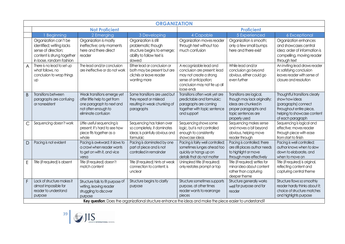|                | <b>ORGANIZATION</b>                                                                                                                 |                                                                                                                                         |                                                                                                                   |                                                                                                                                                                                                              |                                                                                                                                                   |                                                                                                                                                          |  |
|----------------|-------------------------------------------------------------------------------------------------------------------------------------|-----------------------------------------------------------------------------------------------------------------------------------------|-------------------------------------------------------------------------------------------------------------------|--------------------------------------------------------------------------------------------------------------------------------------------------------------------------------------------------------------|---------------------------------------------------------------------------------------------------------------------------------------------------|----------------------------------------------------------------------------------------------------------------------------------------------------------|--|
|                | <b>Not Proficient</b>                                                                                                               |                                                                                                                                         |                                                                                                                   | <b>Proficient</b>                                                                                                                                                                                            |                                                                                                                                                   |                                                                                                                                                          |  |
|                | Beginning                                                                                                                           | 2 Emerging                                                                                                                              | 3 Developing                                                                                                      | 4 Capable                                                                                                                                                                                                    | 5 Experienced                                                                                                                                     | 6 Exceptional                                                                                                                                            |  |
|                | Organization can't be<br>identified; writing lacks<br>sense of direction;<br>content is strung together<br>in loose, random fashion | Organization is mostly<br>ineffective; only moments<br>here and there direct<br>reader                                                  | Organization is still<br>problematic though<br>structure begins to emerge;<br>ability to follow text is<br>slowed | Organization moves reader<br>through text without too<br>much confusion                                                                                                                                      | Organization is smooth;<br>only a few small bumps<br>here and there exist                                                                         | Organization enhances<br>and showcases central<br>idea: order of information is<br>compelling, moving reader<br>through text                             |  |
| $\overline{A}$ | There is no lead to set up<br>what follows, no<br>conclusion to wrap things<br>Up                                                   | The lead and/or conclusion<br>are ineffective or do not work                                                                            | Either lead or conclusion or<br>both may be present but are<br>clichés or leave reader<br>wanting more            | A recognizable lead and<br>conclusion are present; lead<br>may not create a strong<br>sense of anticipation;<br>conclusion may not tie up all<br>loose ends                                                  | While lead and/or<br>conclusion go beyond<br>obvious, either could go<br>even further                                                             | An inviting lead draws reader<br>in; satisfying conclusion<br>leaves reader with sense of<br>closure and resolution                                      |  |
| B              | Transitions between<br>paragraphs are confusing<br>or nonexistent                                                                   | Weak transitions emerge yet<br>offer little help to get from<br>one paragraph to next and<br>not often enough to<br>eliminate confusion | Some transitions are used but<br>they repeat or mislead<br>resulting in weak chunking of<br>paragraphs            | Transitions often work yet are<br>predictable and formulaic;<br>paragraphs are coming<br>together with topic sentence<br>and support                                                                         | Transitions are logical,<br>though may lack originality;<br>ideas are chunked in<br>proper paragraphs and<br>topic sentences are<br>properly used | Thoughtful transitions clearly<br>show how ideas<br>(paragraphs) connect<br>throughout entire piece,<br>helping to showcase content<br>of each paragraph |  |
| Ć              | Sequencing doesn't work                                                                                                             | Little useful sequencing is<br>present; it's hard to see how<br>piece fits together as a<br>whole                                       | Sequencing has taken over<br>so completely, it dominates<br>ideas; is painfully obvious and<br>formulaic          | Sequencing shows some<br>logic, but is not controlled<br>enough to consistently<br>showcase ideas                                                                                                            | Sequencing makes sense<br>and moves a bit beyond<br>obvious, helping move<br>reader through                                                       | Sequencing is logical and<br>effective: moves reader<br>through piece with ease<br>from start to finish                                                  |  |
| D              | Pacing is not evident                                                                                                               | Pacing is awkward; it slows to<br>a crawl when reader wants<br>to get on with it, and vice<br>versa                                     | Pacing is dominated by one<br>part of piece and is not<br>controlled in remainder                                 | Pacing is fairly well controlled;<br>sometimes lunges ahead too<br>quickly or hangs up on<br>details that do not matter                                                                                      | Pacing is controlled; there<br>are still places author needs<br>to highlight or move<br>through more effectively                                  | Pacing is well controlled;<br>author knows when to slow<br>down to elaborate, and<br>when to move on                                                     |  |
| E              | Title (if required) is absent                                                                                                       | Title (if required) doesn't<br>match content                                                                                            | Title (if required) hints at weak<br>connection to content; is<br>unclear                                         | Uninspired title (if required)<br>only restates prompt or top                                                                                                                                                | Title (if required) settles for<br>minor idea about content<br>rather than capturing<br>deeper theme                                              | Title (if required) is original,<br>reflecting content and<br>capturing central theme                                                                    |  |
| F              | Lack of structure makes it<br>almost impossible for<br>reader to understand<br>purpose                                              | Structure fails to fit purpose of<br>writing, leaving reader<br>struggling to discover<br>purpose                                       | Structure begins to clarify<br>purpose                                                                            | Structure sometimes supports<br>purpose, at other times<br>reader wants to rearrange<br>pieces<br>Key question: Does the organizational structure enhance the ideas and make the piece easier to understand? | Structure generally works<br>well for purpose and for<br>reader                                                                                   | Structure flows so smoothly<br>reader hardly thinks about it;<br>choice of structure matches<br>and highlights purpose                                   |  |

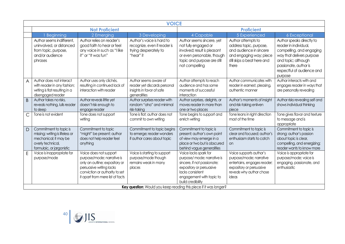|                |                                                                                                                                      |                                                                                                                                                                                          |                                                                                                                                                            |                                                                                                                                                                                     |                                                                                                                                                    | <b>VOICE</b>                                                                                                                                                                                         |  |  |  |  |  |  |
|----------------|--------------------------------------------------------------------------------------------------------------------------------------|------------------------------------------------------------------------------------------------------------------------------------------------------------------------------------------|------------------------------------------------------------------------------------------------------------------------------------------------------------|-------------------------------------------------------------------------------------------------------------------------------------------------------------------------------------|----------------------------------------------------------------------------------------------------------------------------------------------------|------------------------------------------------------------------------------------------------------------------------------------------------------------------------------------------------------|--|--|--|--|--|--|
|                |                                                                                                                                      | <b>Not Proficient</b>                                                                                                                                                                    |                                                                                                                                                            |                                                                                                                                                                                     | <b>Proficient</b>                                                                                                                                  |                                                                                                                                                                                                      |  |  |  |  |  |  |
|                | Beginning                                                                                                                            | 2 Emerging                                                                                                                                                                               | 3 Developing                                                                                                                                               | 4 Capable                                                                                                                                                                           | 5 Experienced                                                                                                                                      | 6 Exceptional                                                                                                                                                                                        |  |  |  |  |  |  |
|                | Author seems indifferent,<br>uninvolved, or distanced<br>from topic, purpose,<br>and/or audience<br>phrases                          | Author relies on reader's<br>good faith to hear or feel<br>any voice in such as "I like<br>it" or "It was fun"                                                                           | Author's voice is hard to<br>recognize, even if reader is<br>trying desperately to<br>"hear" it                                                            | Author seems sincere, yet<br>not fully engaged or<br>involved; result is pleasant<br>or even personable, though<br>topic and purpose are still<br>not compelling                    | Author attempts to<br>address topic, purpose,<br>and audience in sincere<br>and engaging way; piece<br>still skips a beat here and<br>there        | Author speaks directly to<br>reader in individual.<br>compelling, and engaging<br>way that delivers purpose<br>and topic; although<br>passionate, author is<br>respectful of audience and<br>purpose |  |  |  |  |  |  |
| $\overline{A}$ | Author does not interact<br>with reader in any fashion;<br>writing is flat resulting in a<br>disengaged reader                       | Author uses only clichés,<br>resulting in continued lack of<br>interaction with reader                                                                                                   | Author seems aware of<br>reader yet discards personal<br>insights in favor of safe<br>generalities                                                         | Author attempts to reach<br>audience and has some<br>moments of successful<br>interaction                                                                                           | Author communicates with<br>reader in earnest, pleasing,<br>authentic manner                                                                       | Author interacts with and<br>engages reader in ways that<br>are personally revealing                                                                                                                 |  |  |  |  |  |  |
| B              | Author takes no risks,<br>reveals nothing, lulls reader<br>to sleep                                                                  | Author reveals little yet<br>doesn't risk enough to<br>engage reader                                                                                                                     | Author surprises reader with<br>random "aha" and minimal<br>risk-taking                                                                                    | Author surprises, delights, or<br>moves reader in more than<br>one or two places                                                                                                    | Author's moments of insight<br>and risk-taking enliven<br>piece                                                                                    | Author risks revealing self and<br>shows individual thinking                                                                                                                                         |  |  |  |  |  |  |
| Ċ              | Tone is not evident                                                                                                                  | Tone does not support<br>writing                                                                                                                                                         | Tone is flat; author does not<br>commit to own writing                                                                                                     | Tone begins to support and<br>enrich writing                                                                                                                                        | Tone leans in right direction<br>most of the time                                                                                                  | Tone gives flavor and texture<br>to message and is<br>appropriate                                                                                                                                    |  |  |  |  |  |  |
| D              | Commitment to topic is<br>missing; writing is lifeless or<br>mechanical; it may be<br>overly technical,<br>formulaic, or jargonistic | Commitment to topic<br>"might" be present; author<br>does not help reader feel<br>anything                                                                                               | Commitment to topic begins<br>to emerge; reader wonders<br>if author cares about topic                                                                     | Commitment to topic is<br>present; author's own point<br>of view may emerge in a<br>place or two but is obscured<br>behind vague generalities                                       | Commitment to topic is<br>clear and focused; author's<br>enthusiasm starts to catch<br>on                                                          | Commitment to topic is<br>strong; author's passion<br>about topic is clear,<br>compelling, and energizing;<br>reader wants to know more                                                              |  |  |  |  |  |  |
| $\mathsf E$    | Voice is inappropriate for<br>purpose/mode                                                                                           | Voice does not support<br>purpose/mode; narrative is<br>only an outline; expository or<br>persuasive writing lacks<br>conviction or authority to set<br>it apart from mere list of facts | Voice is starting to support<br>purpose/mode though<br>remains weak in many<br>places<br>Key question: Would you keep reading this piece if it was longer? | Voice lacks spark for<br>purpose/mode; narrative is<br>sincere, if not passionate;<br>expository or persuasive<br>lacks consistent<br>engagement with topic to<br>build credibility | Voice supports author's<br>purpose/mode; narrative<br>entertains, engages reader;<br>expository or persuasive<br>reveals why author chose<br>ideas | Voice is appropriate for<br>purpose/mode; voice is<br>engaging, passionate, and<br>enthusiastic                                                                                                      |  |  |  |  |  |  |

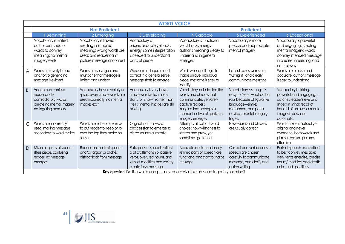|                | <b>WORD VOICE</b>                                                                                                |                                                                                                                                    |                                                                                                                                                    |                                                                                                                                                                                               |                                                                                                                                                                           |                                                                                                                                                                                    |
|----------------|------------------------------------------------------------------------------------------------------------------|------------------------------------------------------------------------------------------------------------------------------------|----------------------------------------------------------------------------------------------------------------------------------------------------|-----------------------------------------------------------------------------------------------------------------------------------------------------------------------------------------------|---------------------------------------------------------------------------------------------------------------------------------------------------------------------------|------------------------------------------------------------------------------------------------------------------------------------------------------------------------------------|
|                |                                                                                                                  | <b>Not Proficient</b>                                                                                                              |                                                                                                                                                    | <b>Proficient</b>                                                                                                                                                                             |                                                                                                                                                                           |                                                                                                                                                                                    |
|                | Beginning                                                                                                        | 2 Emerging                                                                                                                         | 3 Developing                                                                                                                                       | 4 Capable                                                                                                                                                                                     | 5 Experienced                                                                                                                                                             | 6 Exceptional                                                                                                                                                                      |
|                | Vocabulary is limited;<br>author searches for<br>words to convey<br>meaning; no mental<br>imagery exists         | Vocabulary is flawed,<br>resulting in impaired<br>meaning; wrong words are<br>used; and reader can't<br>picture message or content | Vocabulary is<br>understandable yet lacks<br>energy; some interpretation<br>is needed to understand<br>parts of piece                              | Vocabulary is functional<br>yet still lacks energy;<br>author's meaning is easy to<br>understand in general<br>emerges                                                                        | Vocabulary is more<br>precise and appropriate;<br>mental imagery                                                                                                          | Vocabulary is powerful<br>and engaging, creating<br>mental imagery; words<br>convey intended message<br>in precise, interesting, and<br>natural way                                |
| $\overline{A}$ | Words are overly broad<br>and/ or so generic no<br>message is evident                                            | Words are so vague and<br>mundane that message is<br>limited and unclear                                                           | Words are adequate and<br>correct in a general sense;<br>message starts to emerge                                                                  | Words work and begin to<br>shape unique, individual<br>piece; message is easy to<br>identify                                                                                                  | In most cases words are<br>"just right" and clearly<br>communicate message                                                                                                | Words are precise and<br>accurate; author's message<br>is easy to understand                                                                                                       |
| B              | Vocabulary confuses<br>reader and is<br>contradictory; words<br>create no mental imagery,<br>no lingering memory | Vocabulary has no variety or<br>spice; even simple words are<br>used incorrectly; no mental<br>images exist                        | Vocabulary is very basic;<br>simple words rule; variety<br>starts to "show" rather than<br>"tell"; mental images are still<br>missing              | Vocabulary includes familiar<br>words and phrases that<br>communicate, yet rarely<br>capture reader's<br>imagination; perhaps a<br>moment or two of sparkle or<br>imagery emerges             | Vocabulary is strong; it's<br>easy to "see" what author<br>says because of figurative<br>language-similes,<br>metaphors, and poetic<br>devices; mental imagery<br>lingers | Vocabulary is striking,<br>powerful, and engaging; it<br>catches reader's eye and<br>lingers in mind; recall of<br>handful of phrases or mental<br>images is easy and<br>automatic |
| $\mathsf{C}$   | Words are incorrectly<br>used, making message<br>secondary to word misfires                                      | Words are either so plain as<br>to put reader to sleep or so<br>over the top they make no<br>sense                                 | Original, natural word<br>choices start to emerge so<br>piece sounds authentic                                                                     | Attempts at colorful word<br>choice show willingness to<br>stretch and grow, yet<br>sometimes go too far                                                                                      | New words and phrases<br>are usually correct                                                                                                                              | Word choice is natural yet<br>original and never<br>overdone; both words and<br>phrases are unique and<br>effective                                                                |
| $\mathsf{D}$   | Misuse of parts of speech<br>litters piece, confusing<br>reader; no message<br>emerges                           | Redundant parts of speech<br>and/or jargon or clichés<br>distract lack from message                                                | Rote parts of speech reflect<br>a of craftsmanship; passive<br>verbs, overused nouns, and<br>lack of modifiers and variety<br>create fuzzy message | Accurate and occasionally<br>refined parts of speech are<br>functional and start to shape<br>message<br>Key question: Do the words and phrases create vivid pictures and linger in your mind? | Correct and varied parts of<br>speech are chosen<br>carefully to communicate<br>message, and clarify and<br>enrich writing                                                | Parts of speech are crafted<br>to best convey message;<br>lively verbs energize, precise<br>nouns/ modifiers add depth,<br>color, and specificity                                  |

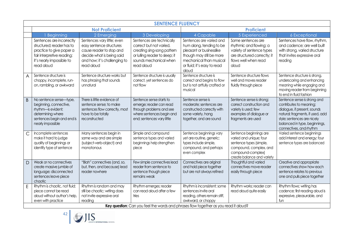|   | <b>SENTENCE FLUENCY</b>                                                                                                                                     |                                                                                                                                                                |                                                                                                                                                              |                                                                                                                                                                                 |                                                                                                                                                            |                                                                                                                                                                                                                        |  |
|---|-------------------------------------------------------------------------------------------------------------------------------------------------------------|----------------------------------------------------------------------------------------------------------------------------------------------------------------|--------------------------------------------------------------------------------------------------------------------------------------------------------------|---------------------------------------------------------------------------------------------------------------------------------------------------------------------------------|------------------------------------------------------------------------------------------------------------------------------------------------------------|------------------------------------------------------------------------------------------------------------------------------------------------------------------------------------------------------------------------|--|
|   |                                                                                                                                                             | <b>Not Proficient</b>                                                                                                                                          |                                                                                                                                                              |                                                                                                                                                                                 | <b>Proficient</b>                                                                                                                                          |                                                                                                                                                                                                                        |  |
|   | <b>Beginning</b>                                                                                                                                            | 2 Emerging                                                                                                                                                     | 3 Developing                                                                                                                                                 | 4 Capable                                                                                                                                                                       | 5 Experienced                                                                                                                                              | 6 Exceptional                                                                                                                                                                                                          |  |
|   | Sentences are incorrectly<br>structured; reader has to<br>practice to give paper a<br>fair interpretive reading;<br>it's nearly impossible to<br>read aloud | Sentences vary little; even<br>easy sentence structures<br>cause reader to stop and<br>decide what is being said<br>and how; it's challenging to<br>read aloud | Sentences are technically<br>correct but not varied,<br>creating sing-song pattern<br>or lulling reader to sleep; it<br>sounds mechanical when<br>read aloud | Sentences are varied and<br>hum along, tending to be<br>pleasant or businesslike<br>though may still be more<br>mechanical than musical<br>or fluid; it's easy to read<br>aloud | Some sentences are<br>rhythmic and flowing; a<br>variety of sentence types<br>are structured correctly; it<br>flows well when read<br>aloud                | Sentences have flow, rhythm,<br>and cadence; are well built<br>with strong, varied structure<br>that invites expressive oral<br>reading                                                                                |  |
| A | Sentence structure is<br>choppy, incomplete, run-<br>on, rambling, or awkward                                                                               | Sentence structure works but<br>has phrasing that sounds<br>unnatural                                                                                          | Sentence structure is usually<br>correct, yet sentences do<br>not flow                                                                                       | Sentence structure is<br>correct and begins to flow<br>but is not artfully crafted or<br>musical                                                                                | Sentence structure flows<br>well and moves reader<br>fluidly through piece                                                                                 | Sentence structure is strong,<br>underscoring and enhancing<br>meaning while engaging and<br>moving reader from beginning<br>to end in fluid fashion                                                                   |  |
| B | No sentence sense-type,<br>beginning, connective,<br>rhythm-is evident;<br>determining where<br>sentences begin and end is<br>nearly impossible             | There is little evidence of<br>sentence sense; to make<br>sentences flow correctly, most<br>have to be totally<br>reconstructed                                | Sentence sense starts to<br>emerge; reader can read<br>through problems and see<br>where sentences begin and<br>end; sentences vary little                   | Sentence sense is<br>moderate; sentences are<br>constructed correctly with<br>some variety, hang<br>together, and are sound                                                     | Sentence sense is strong;<br>correct construction and<br>variety is used; few<br>examples of dialogue or<br>fragments are used                             | Sentence sense is strong and<br>contributes to meaning;<br>dialogue, if present, sounds<br>natural; fragments, if used, add<br>style; sentences are nicely<br>balanced in type, beginnings,<br>connectives, and rhythm |  |
| С | Incomplete sentences<br>make it hard to judge<br>quality of beginnings or<br>identify type of sentence                                                      | Many sentences begin in<br>same way and are simple<br>(subject-verb-object) and<br>monotonous                                                                  | Simple and compound<br>sentence types and varied<br>beginnings help strengthen<br>piece                                                                      | Sentence beginnings vary<br>yet are routine, generic;<br>types include simple,<br>compound, and perhaps<br>even complex                                                         | Sentence beginnings are<br>varied and unique; four<br>sentence types (simple,<br>compound, complex, and<br>compound-complex)<br>create balance and variety | Varied sentence beginnings<br>add interest and energy; four<br>sentence types are balanced                                                                                                                             |  |
| D | Weak or no connectives<br>create massive jumble of<br>language; disconnected<br>sentences leave piece<br>chaotic                                            | "Blah" connectives (and, so,<br>but, then, and because) lead<br>reader nowhere                                                                                 | Few simple connectives lead<br>reader from sentence to<br>sentence though piece<br>remains weak                                                              | Connectives are original<br>and hold piece together<br>but are not always refined                                                                                               | Thoughtful and varied<br>connectives move reader<br>easily through piece                                                                                   | Creative and appropriate<br>connectives show how each<br>sentence relates to previous<br>one and pulls piece together                                                                                                  |  |
| E | Rhythm is chaotic, not fluid;<br>piece cannot be read<br>aloud without author's help,<br>even with practice                                                 | Rhythm is random and may<br>still be chaotic; writing does<br>not invite expressive oral<br>reading                                                            | Rhythm emerges; reader<br>can read aloud after a few<br>tries<br>Key question: Can you feel the words and phrases flow together as you read it aloud?        | Rhythm is inconsistent; some<br>sentences invite oral<br>reading, others remain stiff,<br>awkward, or choppy                                                                    | Rhythm works; reader can<br>read aloud quite easily                                                                                                        | Rhythm flows; writing has<br>cadence; first reading aloud is<br>expressive, pleasurable, and<br>fun                                                                                                                    |  |



 $\overline{\mathbf{a}}$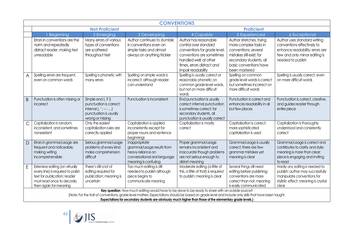|   | <b>CONVENTIONS</b>                                                                                                                                                                                                                                        |                                                                                                                          |                                                                                                                           |                                                                                                                                                       |                                                                                                                                        |                                                                                                                                                    |  |
|---|-----------------------------------------------------------------------------------------------------------------------------------------------------------------------------------------------------------------------------------------------------------|--------------------------------------------------------------------------------------------------------------------------|---------------------------------------------------------------------------------------------------------------------------|-------------------------------------------------------------------------------------------------------------------------------------------------------|----------------------------------------------------------------------------------------------------------------------------------------|----------------------------------------------------------------------------------------------------------------------------------------------------|--|
|   |                                                                                                                                                                                                                                                           | <b>Not Proficient</b>                                                                                                    |                                                                                                                           |                                                                                                                                                       | <b>Proficient</b>                                                                                                                      |                                                                                                                                                    |  |
|   | 1 Beginning                                                                                                                                                                                                                                               | 2 Emerging                                                                                                               | 3 Developing                                                                                                              | 4 Capable                                                                                                                                             | 5 Experienced                                                                                                                          | 6 Exceptional                                                                                                                                      |  |
|   | Errors in conventions are the<br>norm and repeatedly<br>distract reader, making text<br>unreadable                                                                                                                                                        | Many errors of various<br>types of conventions<br>are scattered<br>throughout text                                       | Author continues to stumble<br>in conventions even on<br>simple tasks and almost<br>always on anything trickier           | Author has reasonable<br>control over standard<br>conventions for grade level;<br>conventions are sometimes                                           | Author stretches, trying<br>more complex tasks in<br>conventions; several<br>mistakes still exist; for                                 | Author uses standard writing<br>conventions effectively to<br>enhance readability; errors are<br>few and only minor editing is                     |  |
|   | Spelling errors are frequent,                                                                                                                                                                                                                             | Spelling is phonetic with                                                                                                | Spelling on simple words is                                                                                               | handled well; at other<br>times, errors distract and<br>impair readability<br>Spelling is usually correct or                                          | secondary students, all<br>basic conventions have<br>been mastered<br>Spelling on common                                               | needed to publish<br>Spelling is usually correct, even                                                                                             |  |
| A | even on common words                                                                                                                                                                                                                                      | many errors                                                                                                              | incorrect, although reader<br>can understand                                                                              | reasonably phonetic on<br>common grade-level words,<br>but not on more difficult<br>words                                                             | grade-level words is correct<br>but sometimes incorrect on<br>more difficult words                                                     | on more difficult words                                                                                                                            |  |
| B | Punctuation is often missing or<br>incorrect                                                                                                                                                                                                              | Simple end $( . 2!)$<br>punctuation is correct;<br>internal $($ , '; - : )<br>punctuation is usually<br>wrong or missing | Punctuation is inconsistent                                                                                               | End punctuation is usually<br>correct; internal punctuation<br>is sometimes correct; for<br>secondary students, all<br>punctuation is usually correct | Punctuation is correct and<br>enhances readability in all<br>but few places                                                            | Punctuation is correct, creative,<br>and guides reader through<br>entire piece                                                                     |  |
| Ć | Capitalization is random,<br>inconsistent, and sometimes<br>nonexistent                                                                                                                                                                                   | Only the easiest<br>capitalization rules are<br>correctly applied                                                        | Capitalization is applied<br>inconsistently except for<br>proper nouns and sentence<br>beginnings                         | Capitalization is mostly<br>correct                                                                                                                   | Capitalization is correct;<br>more sophisticated<br>capitalization is used                                                             | Capitalization is thoroughly<br>understood and consistently<br>correct                                                                             |  |
| D | Errors in grammar/usage are<br>frequent and noticeable,<br>making writing<br>incomprehensible                                                                                                                                                             | Serious grammar/usage<br>problems of every kind<br>make comprehension<br>difficult                                       | Inappropriate<br>grammar/usage results from<br>heavy reliance on<br>conversational oral language;<br>meaning is confusing | Proper grammar/usage<br>remains inconsistent and<br>inaccurate though problems<br>are not serious enough to<br>distort meaning                        | Grammar/usage is usually<br>correct: there are few<br>grammar mistakes yet<br>meaning is clear                                         | Grammar/usage is correct and<br>contributes to clarity and style;<br>meaning is more than clear;<br>piece is engaging and inviting<br>to read      |  |
| E | Extensive editing (on virtually<br>every line) is required to polish<br>text for publication; reader<br>must read once to decode.<br>then again for meaning                                                                                               | There's still a lot of<br>editing required for<br>publication; meaning is<br>uncertain                                   | Too much editing is still<br>needed to publish although<br>piece begins to<br>communicate meaning                         | Moderate editing (a little of<br>this, a little of that) is required<br>to publish; meaning is clear                                                  | Several things still need<br>editing before publishing;<br>conventions are more<br>correct than not; meaning<br>is easily communicated | Hardly any editing is needed to<br>publish; author may successfully<br>manipulate conventions for<br>stylistic effect; meaning is crystal<br>clear |  |
|   | Key question: How much editing would have to be done to be ready to share with an outside source?<br>(Note: For the trait of conventions, grade level matters. Expectations should be based on grade level and include only skills that have been taught. |                                                                                                                          |                                                                                                                           |                                                                                                                                                       |                                                                                                                                        |                                                                                                                                                    |  |

**Expectations for secondary students are obviously much higher than those of the elementary grade levels.)**